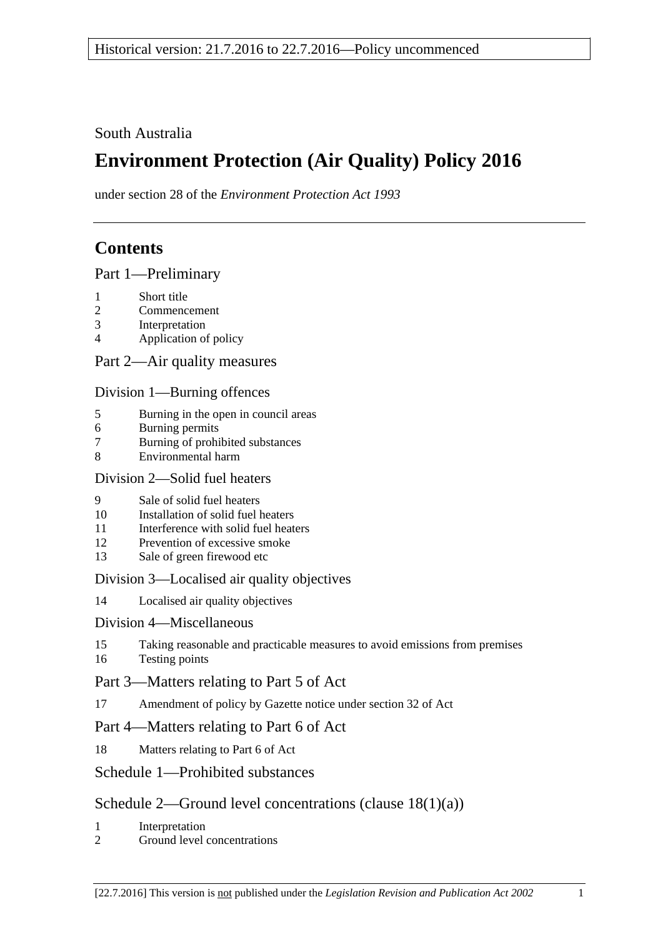South Australia

# **Environment Protection (Air Quality) Policy 2016**

under section 28 of the *Environment Protection Act 1993*

## **Contents**

Part [1—Preliminary](#page-1-0)

- 1 [Short title](#page-1-1)
- 2 [Commencement](#page-1-2)
- 3 [Interpretation](#page-1-3)
- 4 [Application of policy](#page-3-0)

Part [2—Air quality measures](#page-4-0)

Division [1—Burning offences](#page-4-1)

- 5 [Burning in the open in council areas](#page-4-2)
- 6 [Burning permits](#page-6-0)
- 7 [Burning of prohibited substances](#page-7-0)
- 8 [Environmental harm](#page-7-1)

## Division [2—Solid fuel heaters](#page-7-2)

- 9 [Sale of solid fuel heaters](#page-7-3)
- 10 [Installation of solid fuel heaters](#page-8-0)
- 11 [Interference with solid fuel heaters](#page-8-1)
- 12 [Prevention of excessive smoke](#page-8-2)
- 13 [Sale of green firewood etc](#page-9-0)

## Division [3—Localised air quality objectives](#page-9-1)

14 [Localised air quality objectives](#page-9-2)

## Division [4—Miscellaneous](#page-10-0)

15 [Taking reasonable and practicable measures to avoid emissions from premises](#page-10-1) 16 [Testing points](#page-10-2)

## Part [3—Matters relating to Part 5 of Act](#page-11-0)

17 [Amendment of policy by Gazette notice under section](#page-11-1) 32 of Act

## Part [4—Matters relating to Part 6 of](#page-12-0) Act

18 [Matters relating to Part 6 of Act](#page-12-1)

## Schedule [1—Prohibited substances](#page-13-0)

## Schedule [2—Ground level concentrations \(clause](#page-13-1) [18\(1\)\(a\)\)](#page-13-1)

- 1 [Interpretation](#page-13-2)
- 2 [Ground level concentrations](#page-13-3)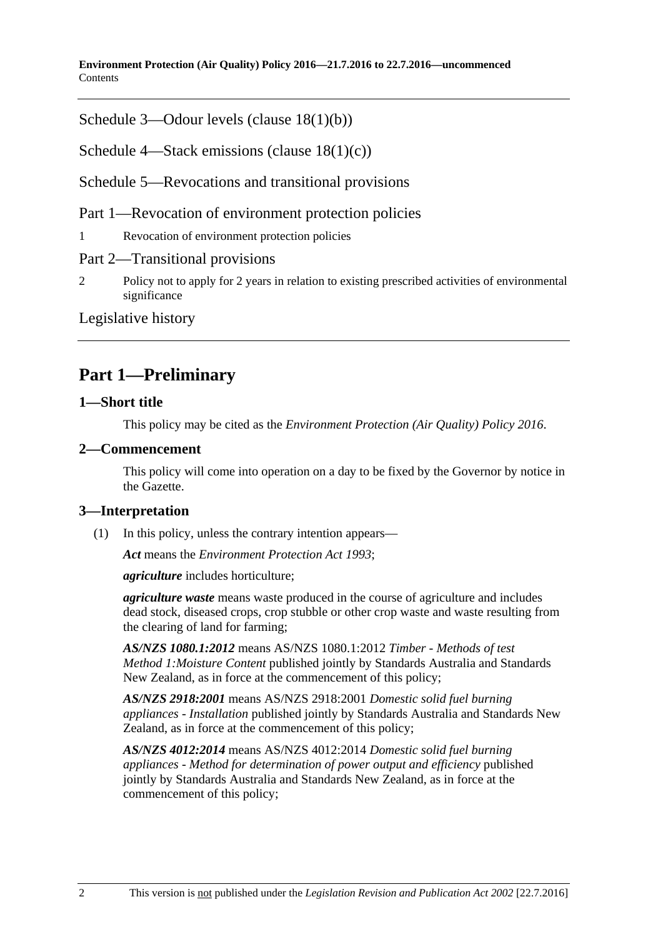**Environment Protection (Air Quality) Policy 2016—21.7.2016 to 22.7.2016—uncommenced Contents** 

Schedule [3—Odour levels \(clause](#page-20-0) [18\(1\)\(b\)\)](#page-20-0)

Schedule [4—Stack emissions \(clause](#page-21-0) [18\(1\)\(c\)\)](#page-21-0)

Schedule [5—Revocations and transitional provisions](#page-22-0)

Part 1—Revocation of environment protection policies

1 [Revocation of environment protection policies](#page-22-1)

Part 2—Transitional provisions

2 [Policy not to apply for 2 years in relation to existing prescribed activities of environmental](#page-23-0)  [significance](#page-23-0)

[Legislative history](#page-24-0)

## <span id="page-1-0"></span>**Part 1—Preliminary**

### <span id="page-1-1"></span>**1—Short title**

This policy may be cited as the *[Environment Protection \(Air Quality\) Policy](http://www.legislation.sa.gov.au/index.aspx?action=legref&type=subordleg&legtitle=Environment%20Protection%20(Air%20Quality)%20Policy%202016) 2016*.

#### <span id="page-1-2"></span>**2—Commencement**

This policy will come into operation on a day to be fixed by the Governor by notice in the Gazette.

#### <span id="page-1-3"></span>**3—Interpretation**

(1) In this policy, unless the contrary intention appears—

*Act* means the *[Environment Protection Act](http://www.legislation.sa.gov.au/index.aspx?action=legref&type=act&legtitle=Environment%20Protection%20Act%201993) 1993*;

*agriculture* includes horticulture;

*agriculture waste* means waste produced in the course of agriculture and includes dead stock, diseased crops, crop stubble or other crop waste and waste resulting from the clearing of land for farming;

*AS/NZS 1080.1:2012* means AS/NZS 1080.1:2012 *Timber - Methods of test Method 1:Moisture Content* published jointly by Standards Australia and Standards New Zealand, as in force at the commencement of this policy;

*AS/NZS 2918:2001* means AS/NZS 2918:2001 *Domestic solid fuel burning appliances - Installation* published jointly by Standards Australia and Standards New Zealand, as in force at the commencement of this policy;

*AS/NZS 4012:2014* means AS/NZS 4012:2014 *Domestic solid fuel burning appliances - Method for determination of power output and efficiency* published jointly by Standards Australia and Standards New Zealand, as in force at the commencement of this policy;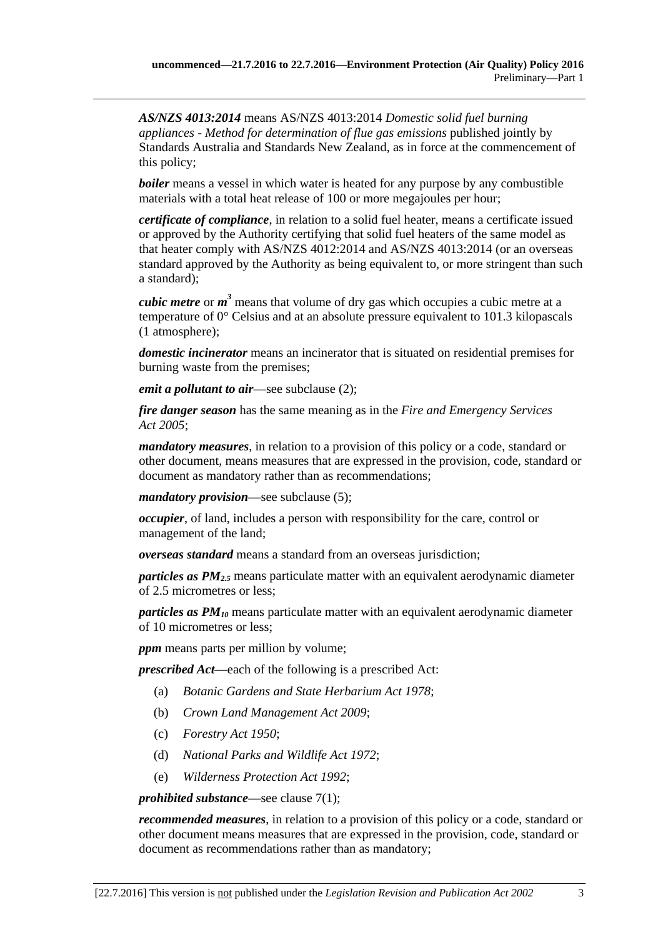*AS/NZS 4013:2014* means AS/NZS 4013:2014 *Domestic solid fuel burning appliances - Method for determination of flue gas emissions* published jointly by Standards Australia and Standards New Zealand, as in force at the commencement of this policy;

*boiler* means a vessel in which water is heated for any purpose by any combustible materials with a total heat release of 100 or more megajoules per hour;

*certificate of compliance*, in relation to a solid fuel heater, means a certificate issued or approved by the Authority certifying that solid fuel heaters of the same model as that heater comply with AS/NZS 4012:2014 and AS/NZS 4013:2014 (or an overseas standard approved by the Authority as being equivalent to, or more stringent than such a standard);

*cubic metre* or *m <sup>3</sup>* means that volume of dry gas which occupies a cubic metre at a temperature of 0° Celsius and at an absolute pressure equivalent to 101.3 kilopascals (1 atmosphere);

*domestic incinerator* means an incinerator that is situated on residential premises for burning waste from the premises;

*emit a pollutant to air*—see [subclause](#page-3-1) (2);

*fire danger season* has the same meaning as in the *[Fire and Emergency Services](http://www.legislation.sa.gov.au/index.aspx?action=legref&type=act&legtitle=Fire%20and%20Emergency%20Services%20Act%202005)  Act [2005](http://www.legislation.sa.gov.au/index.aspx?action=legref&type=act&legtitle=Fire%20and%20Emergency%20Services%20Act%202005)*;

*mandatory measures*, in relation to a provision of this policy or a code, standard or other document, means measures that are expressed in the provision, code, standard or document as mandatory rather than as recommendations;

*mandatory provision*—see [subclause](#page-3-2) (5);

*occupier*, of land, includes a person with responsibility for the care, control or management of the land;

*overseas standard* means a standard from an overseas jurisdiction;

*particles as PM2.5* means particulate matter with an equivalent aerodynamic diameter of 2.5 micrometres or less;

*particles as PM10* means particulate matter with an equivalent aerodynamic diameter of 10 micrometres or less;

*ppm* means parts per million by volume;

*prescribed Act*—each of the following is a prescribed Act:

- (a) *[Botanic Gardens and State Herbarium Act](http://www.legislation.sa.gov.au/index.aspx?action=legref&type=act&legtitle=Botanic%20Gardens%20and%20State%20Herbarium%20Act%201978) 1978*;
- (b) *[Crown Land Management Act](http://www.legislation.sa.gov.au/index.aspx?action=legref&type=act&legtitle=Crown%20Land%20Management%20Act%202009) 2009*;
- (c) *[Forestry Act](http://www.legislation.sa.gov.au/index.aspx?action=legref&type=act&legtitle=Forestry%20Act%201950) 1950*;
- (d) *[National Parks and Wildlife Act](http://www.legislation.sa.gov.au/index.aspx?action=legref&type=act&legtitle=National%20Parks%20and%20Wildlife%20Act%201972) 1972*;
- (e) *[Wilderness Protection Act](http://www.legislation.sa.gov.au/index.aspx?action=legref&type=act&legtitle=Wilderness%20Protection%20Act%201992) 1992*;

#### *prohibited substance*—see [clause](#page-7-4) 7(1);

*recommended measures*, in relation to a provision of this policy or a code, standard or other document means measures that are expressed in the provision, code, standard or document as recommendations rather than as mandatory;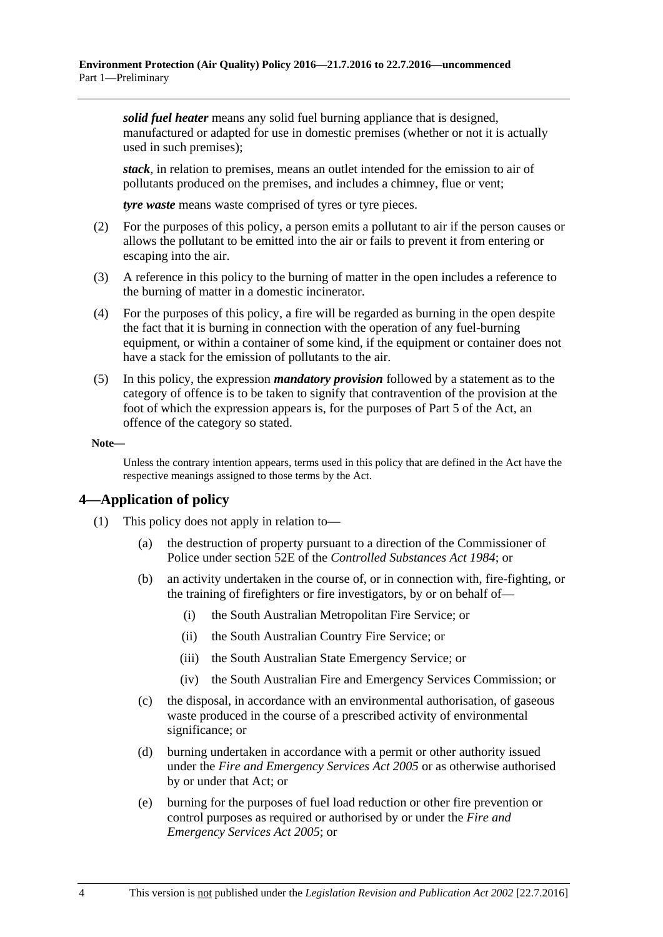*solid fuel heater* means any solid fuel burning appliance that is designed, manufactured or adapted for use in domestic premises (whether or not it is actually used in such premises);

*stack*, in relation to premises, means an outlet intended for the emission to air of pollutants produced on the premises, and includes a chimney, flue or vent;

*tyre waste* means waste comprised of tyres or tyre pieces.

- <span id="page-3-1"></span>(2) For the purposes of this policy, a person emits a pollutant to air if the person causes or allows the pollutant to be emitted into the air or fails to prevent it from entering or escaping into the air.
- (3) A reference in this policy to the burning of matter in the open includes a reference to the burning of matter in a domestic incinerator.
- (4) For the purposes of this policy, a fire will be regarded as burning in the open despite the fact that it is burning in connection with the operation of any fuel-burning equipment, or within a container of some kind, if the equipment or container does not have a stack for the emission of pollutants to the air.
- <span id="page-3-2"></span>(5) In this policy, the expression *mandatory provision* followed by a statement as to the category of offence is to be taken to signify that contravention of the provision at the foot of which the expression appears is, for the purposes of Part 5 of the Act, an offence of the category so stated.

**Note—**

Unless the contrary intention appears, terms used in this policy that are defined in the Act have the respective meanings assigned to those terms by the Act.

### <span id="page-3-0"></span>**4—Application of policy**

- (1) This policy does not apply in relation to—
	- (a) the destruction of property pursuant to a direction of the Commissioner of Police under section 52E of the *[Controlled Substances Act](http://www.legislation.sa.gov.au/index.aspx?action=legref&type=act&legtitle=Controlled%20Substances%20Act%201984) 1984*; or
	- (b) an activity undertaken in the course of, or in connection with, fire-fighting, or the training of firefighters or fire investigators, by or on behalf of—
		- (i) the South Australian Metropolitan Fire Service; or
		- (ii) the South Australian Country Fire Service; or
		- (iii) the South Australian State Emergency Service; or
		- (iv) the South Australian Fire and Emergency Services Commission; or
	- (c) the disposal, in accordance with an environmental authorisation, of gaseous waste produced in the course of a prescribed activity of environmental significance; or
	- (d) burning undertaken in accordance with a permit or other authority issued under the *[Fire and Emergency Services Act](http://www.legislation.sa.gov.au/index.aspx?action=legref&type=act&legtitle=Fire%20and%20Emergency%20Services%20Act%202005) 2005* or as otherwise authorised by or under that Act; or
	- (e) burning for the purposes of fuel load reduction or other fire prevention or control purposes as required or authorised by or under the *[Fire and](http://www.legislation.sa.gov.au/index.aspx?action=legref&type=act&legtitle=Fire%20and%20Emergency%20Services%20Act%202005)  [Emergency Services Act](http://www.legislation.sa.gov.au/index.aspx?action=legref&type=act&legtitle=Fire%20and%20Emergency%20Services%20Act%202005) 2005*; or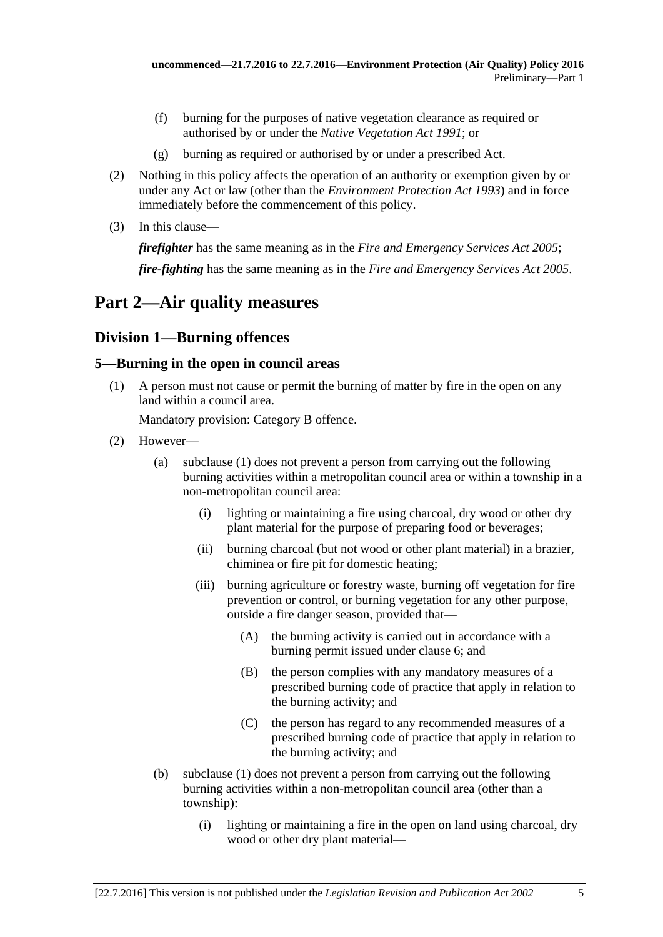- (f) burning for the purposes of native vegetation clearance as required or authorised by or under the *[Native Vegetation Act](http://www.legislation.sa.gov.au/index.aspx?action=legref&type=act&legtitle=Native%20Vegetation%20Act%201991) 1991*; or
- (g) burning as required or authorised by or under a prescribed Act.
- (2) Nothing in this policy affects the operation of an authority or exemption given by or under any Act or law (other than the *[Environment Protection Act](http://www.legislation.sa.gov.au/index.aspx?action=legref&type=act&legtitle=Environment%20Protection%20Act%201993) 1993*) and in force immediately before the commencement of this policy.
- (3) In this clause—

*firefighter* has the same meaning as in the *[Fire and Emergency Services Act](http://www.legislation.sa.gov.au/index.aspx?action=legref&type=act&legtitle=Fire%20and%20Emergency%20Services%20Act%202005) 2005*;

*fire-fighting* has the same meaning as in the *[Fire and Emergency Services Act](http://www.legislation.sa.gov.au/index.aspx?action=legref&type=act&legtitle=Fire%20and%20Emergency%20Services%20Act%202005) 2005*.

## <span id="page-4-0"></span>**Part 2—Air quality measures**

## <span id="page-4-1"></span>**Division 1—Burning offences**

### <span id="page-4-3"></span><span id="page-4-2"></span>**5—Burning in the open in council areas**

(1) A person must not cause or permit the burning of matter by fire in the open on any land within a council area.

Mandatory provision: Category B offence.

- <span id="page-4-5"></span><span id="page-4-4"></span>(2) However—
	- (a) [subclause](#page-4-3) (1) does not prevent a person from carrying out the following burning activities within a metropolitan council area or within a township in a non-metropolitan council area:
		- (i) lighting or maintaining a fire using charcoal, dry wood or other dry plant material for the purpose of preparing food or beverages;
		- (ii) burning charcoal (but not wood or other plant material) in a brazier, chiminea or fire pit for domestic heating;
		- (iii) burning agriculture or forestry waste, burning off vegetation for fire prevention or control, or burning vegetation for any other purpose, outside a fire danger season, provided that—
			- (A) the burning activity is carried out in accordance with a burning permit issued under [clause](#page-6-0) 6; and
			- (B) the person complies with any mandatory measures of a prescribed burning code of practice that apply in relation to the burning activity; and
			- (C) the person has regard to any recommended measures of a prescribed burning code of practice that apply in relation to the burning activity; and
	- (b) [subclause](#page-4-3) (1) does not prevent a person from carrying out the following burning activities within a non-metropolitan council area (other than a township):
		- (i) lighting or maintaining a fire in the open on land using charcoal, dry wood or other dry plant material—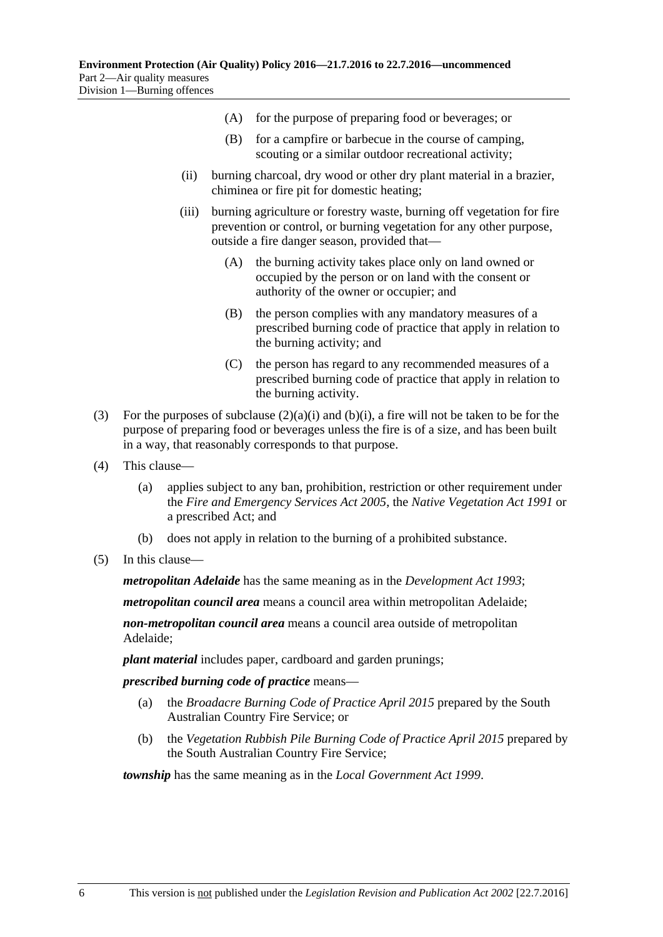- (A) for the purpose of preparing food or beverages; or
- (B) for a campfire or barbecue in the course of camping, scouting or a similar outdoor recreational activity;
- (ii) burning charcoal, dry wood or other dry plant material in a brazier, chiminea or fire pit for domestic heating;
- (iii) burning agriculture or forestry waste, burning off vegetation for fire prevention or control, or burning vegetation for any other purpose, outside a fire danger season, provided that—
	- (A) the burning activity takes place only on land owned or occupied by the person or on land with the consent or authority of the owner or occupier; and
	- (B) the person complies with any mandatory measures of a prescribed burning code of practice that apply in relation to the burning activity; and
	- (C) the person has regard to any recommended measures of a prescribed burning code of practice that apply in relation to the burning activity.
- (3) For the purposes of [subclause](#page-4-4)  $(2)(a)(i)$  and  $(b)(i)$ , a fire will not be taken to be for the purpose of preparing food or beverages unless the fire is of a size, and has been built in a way, that reasonably corresponds to that purpose.
- (4) This clause—
	- (a) applies subject to any ban, prohibition, restriction or other requirement under the *[Fire and Emergency Services Act](http://www.legislation.sa.gov.au/index.aspx?action=legref&type=act&legtitle=Fire%20and%20Emergency%20Services%20Act%202005) 2005*, the *[Native Vegetation Act](http://www.legislation.sa.gov.au/index.aspx?action=legref&type=act&legtitle=Native%20Vegetation%20Act%201991) 1991* or a prescribed Act; and
	- (b) does not apply in relation to the burning of a prohibited substance.
- (5) In this clause—

*metropolitan Adelaide* has the same meaning as in the *[Development Act](http://www.legislation.sa.gov.au/index.aspx?action=legref&type=act&legtitle=Development%20Act%201993) 1993*;

*metropolitan council area* means a council area within metropolitan Adelaide;

*non-metropolitan council area* means a council area outside of metropolitan Adelaide;

*plant material* includes paper, cardboard and garden prunings;

*prescribed burning code of practice* means—

- (a) the *Broadacre Burning Code of Practice April 2015* prepared by the South Australian Country Fire Service; or
- (b) the *Vegetation Rubbish Pile Burning Code of Practice April 2015* prepared by the South Australian Country Fire Service;

*township* has the same meaning as in the *[Local Government Act](http://www.legislation.sa.gov.au/index.aspx?action=legref&type=act&legtitle=Local%20Government%20Act%201999) 1999*.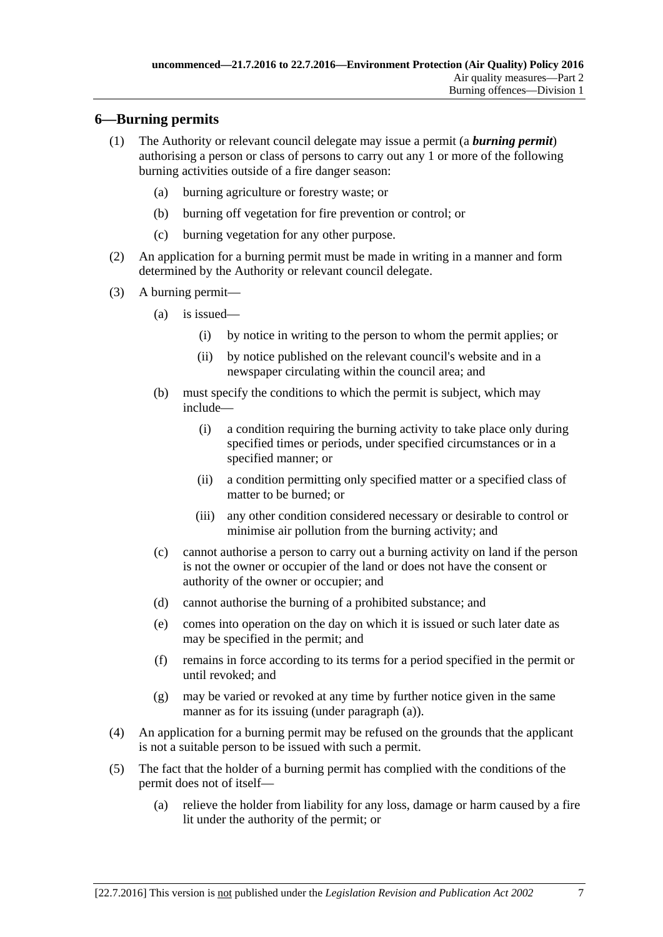### <span id="page-6-0"></span>**6—Burning permits**

- (1) The Authority or relevant council delegate may issue a permit (a *burning permit*) authorising a person or class of persons to carry out any 1 or more of the following burning activities outside of a fire danger season:
	- (a) burning agriculture or forestry waste; or
	- (b) burning off vegetation for fire prevention or control; or
	- (c) burning vegetation for any other purpose.
- (2) An application for a burning permit must be made in writing in a manner and form determined by the Authority or relevant council delegate.
- <span id="page-6-1"></span>(3) A burning permit—
	- (a) is issued—
		- (i) by notice in writing to the person to whom the permit applies; or
		- (ii) by notice published on the relevant council's website and in a newspaper circulating within the council area; and
	- (b) must specify the conditions to which the permit is subject, which may include—
		- (i) a condition requiring the burning activity to take place only during specified times or periods, under specified circumstances or in a specified manner; or
		- (ii) a condition permitting only specified matter or a specified class of matter to be burned; or
		- (iii) any other condition considered necessary or desirable to control or minimise air pollution from the burning activity; and
	- (c) cannot authorise a person to carry out a burning activity on land if the person is not the owner or occupier of the land or does not have the consent or authority of the owner or occupier; and
	- (d) cannot authorise the burning of a prohibited substance; and
	- (e) comes into operation on the day on which it is issued or such later date as may be specified in the permit; and
	- (f) remains in force according to its terms for a period specified in the permit or until revoked; and
	- (g) may be varied or revoked at any time by further notice given in the same manner as for its issuing (under [paragraph](#page-6-1) (a)).
- (4) An application for a burning permit may be refused on the grounds that the applicant is not a suitable person to be issued with such a permit.
- (5) The fact that the holder of a burning permit has complied with the conditions of the permit does not of itself—
	- (a) relieve the holder from liability for any loss, damage or harm caused by a fire lit under the authority of the permit; or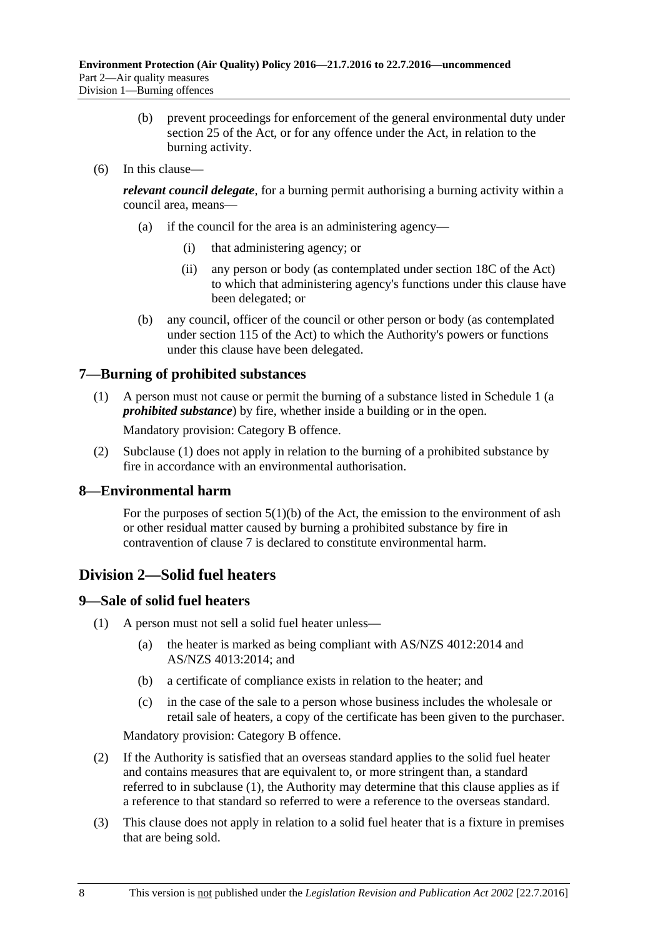- (b) prevent proceedings for enforcement of the general environmental duty under section 25 of the Act, or for any offence under the Act, in relation to the burning activity.
- (6) In this clause—

*relevant council delegate*, for a burning permit authorising a burning activity within a council area, means—

- (a) if the council for the area is an administering agency—
	- (i) that administering agency; or
	- (ii) any person or body (as contemplated under section 18C of the Act) to which that administering agency's functions under this clause have been delegated; or
- (b) any council, officer of the council or other person or body (as contemplated under section 115 of the Act) to which the Authority's powers or functions under this clause have been delegated.

## <span id="page-7-4"></span><span id="page-7-0"></span>**7—Burning of prohibited substances**

(1) A person must not cause or permit the burning of a substance listed in [Schedule](#page-13-0) 1 (a *prohibited substance*) by fire, whether inside a building or in the open.

Mandatory provision: Category B offence.

(2) [Subclause](#page-7-4) (1) does not apply in relation to the burning of a prohibited substance by fire in accordance with an environmental authorisation.

## <span id="page-7-1"></span>**8—Environmental harm**

For the purposes of section  $5(1)(b)$  of the Act, the emission to the environment of ash or other residual matter caused by burning a prohibited substance by fire in contravention of [clause](#page-7-0) 7 is declared to constitute environmental harm.

## <span id="page-7-2"></span>**Division 2—Solid fuel heaters**

## <span id="page-7-5"></span><span id="page-7-3"></span>**9—Sale of solid fuel heaters**

- <span id="page-7-6"></span>(1) A person must not sell a solid fuel heater unless—
	- (a) the heater is marked as being compliant with AS/NZS 4012:2014 and AS/NZS 4013:2014; and
	- (b) a certificate of compliance exists in relation to the heater; and
	- (c) in the case of the sale to a person whose business includes the wholesale or retail sale of heaters, a copy of the certificate has been given to the purchaser.

Mandatory provision: Category B offence.

- (2) If the Authority is satisfied that an overseas standard applies to the solid fuel heater and contains measures that are equivalent to, or more stringent than, a standard referred to in [subclause](#page-7-5) (1), the Authority may determine that this clause applies as if a reference to that standard so referred to were a reference to the overseas standard.
- (3) This clause does not apply in relation to a solid fuel heater that is a fixture in premises that are being sold.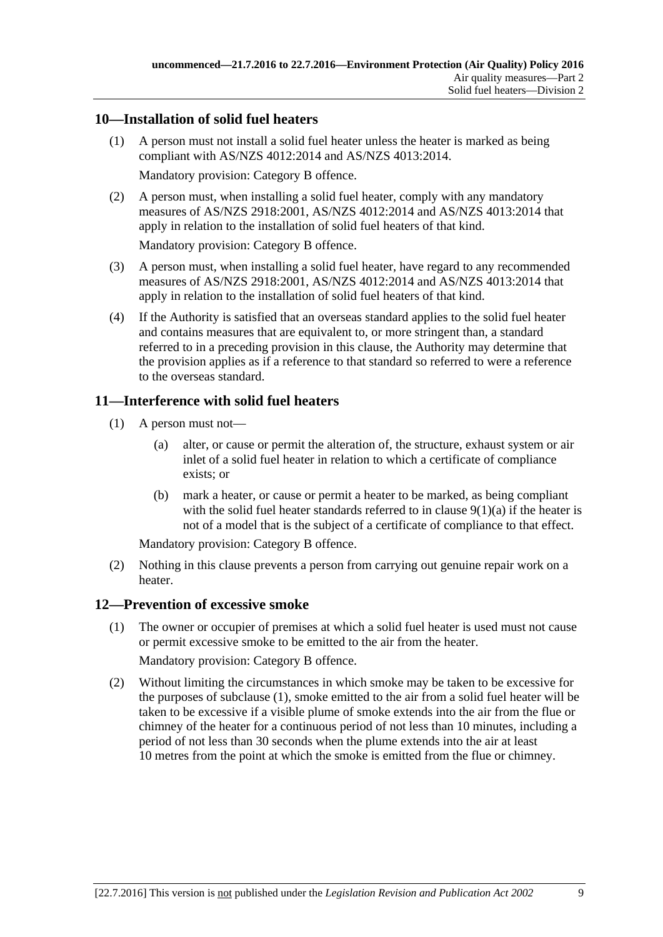### <span id="page-8-0"></span>**10—Installation of solid fuel heaters**

(1) A person must not install a solid fuel heater unless the heater is marked as being compliant with AS/NZS 4012:2014 and AS/NZS 4013:2014.

Mandatory provision: Category B offence.

(2) A person must, when installing a solid fuel heater, comply with any mandatory measures of AS/NZS 2918:2001, AS/NZS 4012:2014 and AS/NZS 4013:2014 that apply in relation to the installation of solid fuel heaters of that kind.

Mandatory provision: Category B offence.

- (3) A person must, when installing a solid fuel heater, have regard to any recommended measures of AS/NZS 2918:2001, AS/NZS 4012:2014 and AS/NZS 4013:2014 that apply in relation to the installation of solid fuel heaters of that kind.
- (4) If the Authority is satisfied that an overseas standard applies to the solid fuel heater and contains measures that are equivalent to, or more stringent than, a standard referred to in a preceding provision in this clause, the Authority may determine that the provision applies as if a reference to that standard so referred to were a reference to the overseas standard.

## <span id="page-8-1"></span>**11—Interference with solid fuel heaters**

- (1) A person must not—
	- (a) alter, or cause or permit the alteration of, the structure, exhaust system or air inlet of a solid fuel heater in relation to which a certificate of compliance exists; or
	- (b) mark a heater, or cause or permit a heater to be marked, as being compliant with the solid fuel heater standards referred to in clause  $9(1)(a)$  if the heater is not of a model that is the subject of a certificate of compliance to that effect.

Mandatory provision: Category B offence.

(2) Nothing in this clause prevents a person from carrying out genuine repair work on a heater.

## <span id="page-8-3"></span><span id="page-8-2"></span>**12—Prevention of excessive smoke**

- (1) The owner or occupier of premises at which a solid fuel heater is used must not cause or permit excessive smoke to be emitted to the air from the heater. Mandatory provision: Category B offence.
- (2) Without limiting the circumstances in which smoke may be taken to be excessive for the purposes of [subclause](#page-8-3) (1), smoke emitted to the air from a solid fuel heater will be taken to be excessive if a visible plume of smoke extends into the air from the flue or chimney of the heater for a continuous period of not less than 10 minutes, including a period of not less than 30 seconds when the plume extends into the air at least 10 metres from the point at which the smoke is emitted from the flue or chimney.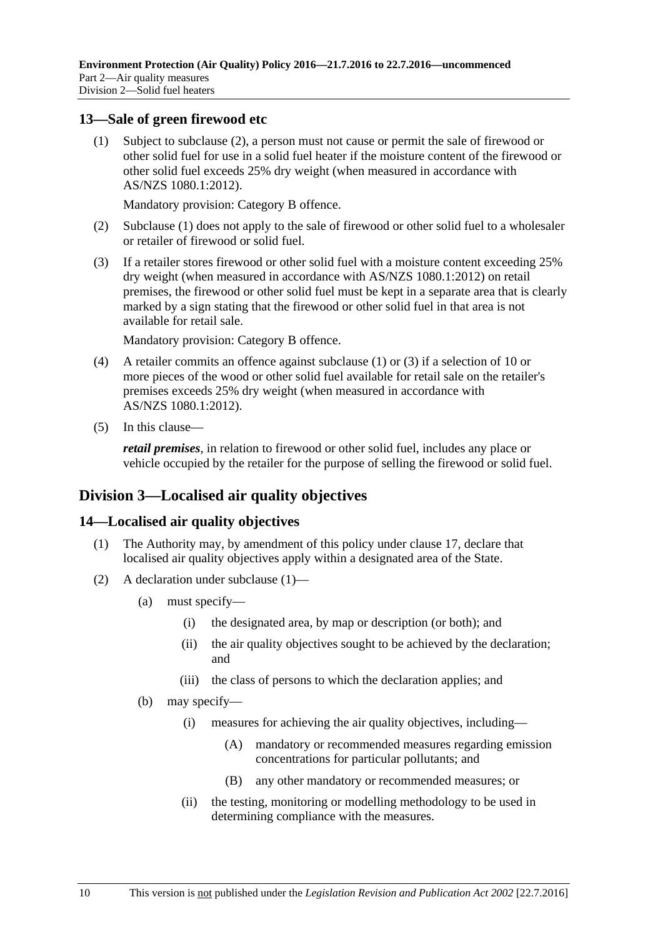#### <span id="page-9-4"></span><span id="page-9-0"></span>**13—Sale of green firewood etc**

(1) Subject to [subclause](#page-9-3) (2), a person must not cause or permit the sale of firewood or other solid fuel for use in a solid fuel heater if the moisture content of the firewood or other solid fuel exceeds 25% dry weight (when measured in accordance with AS/NZS 1080.1:2012).

Mandatory provision: Category B offence.

- <span id="page-9-3"></span>(2) [Subclause](#page-9-4) (1) does not apply to the sale of firewood or other solid fuel to a wholesaler or retailer of firewood or solid fuel.
- <span id="page-9-5"></span>(3) If a retailer stores firewood or other solid fuel with a moisture content exceeding 25% dry weight (when measured in accordance with AS/NZS 1080.1:2012) on retail premises, the firewood or other solid fuel must be kept in a separate area that is clearly marked by a sign stating that the firewood or other solid fuel in that area is not available for retail sale.

Mandatory provision: Category B offence.

- (4) A retailer commits an offence against [subclause](#page-9-4) (1) or [\(3\)](#page-9-5) if a selection of 10 or more pieces of the wood or other solid fuel available for retail sale on the retailer's premises exceeds 25% dry weight (when measured in accordance with AS/NZS 1080.1:2012).
- (5) In this clause—

*retail premises*, in relation to firewood or other solid fuel, includes any place or vehicle occupied by the retailer for the purpose of selling the firewood or solid fuel.

## <span id="page-9-1"></span>**Division 3—Localised air quality objectives**

### <span id="page-9-6"></span><span id="page-9-2"></span>**14—Localised air quality objectives**

- (1) The Authority may, by amendment of this policy under [clause](#page-11-1) 17, declare that localised air quality objectives apply within a designated area of the State.
- (2) A declaration under [subclause](#page-9-6) (1)—
	- (a) must specify—
		- (i) the designated area, by map or description (or both); and
		- (ii) the air quality objectives sought to be achieved by the declaration; and
		- (iii) the class of persons to which the declaration applies; and
	- (b) may specify—
		- (i) measures for achieving the air quality objectives, including—
			- (A) mandatory or recommended measures regarding emission concentrations for particular pollutants; and
			- (B) any other mandatory or recommended measures; or
		- (ii) the testing, monitoring or modelling methodology to be used in determining compliance with the measures.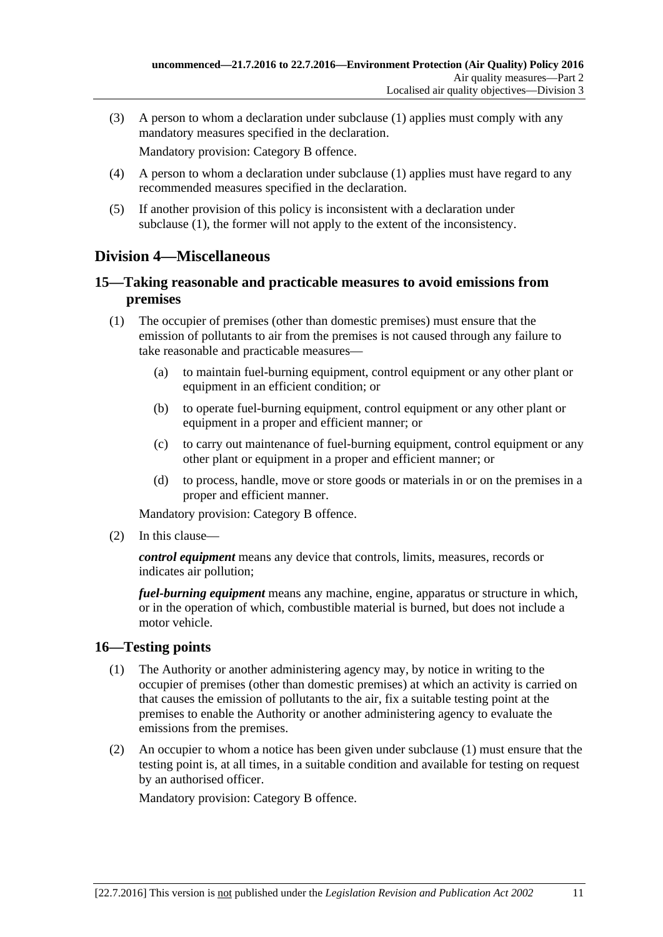(3) A person to whom a declaration under [subclause](#page-9-6) (1) applies must comply with any mandatory measures specified in the declaration.

Mandatory provision: Category B offence.

- (4) A person to whom a declaration under [subclause](#page-9-6) (1) applies must have regard to any recommended measures specified in the declaration.
- (5) If another provision of this policy is inconsistent with a declaration under [subclause](#page-9-6) (1), the former will not apply to the extent of the inconsistency.

## <span id="page-10-0"></span>**Division 4—Miscellaneous**

### <span id="page-10-1"></span>**15—Taking reasonable and practicable measures to avoid emissions from premises**

- (1) The occupier of premises (other than domestic premises) must ensure that the emission of pollutants to air from the premises is not caused through any failure to take reasonable and practicable measures—
	- (a) to maintain fuel-burning equipment, control equipment or any other plant or equipment in an efficient condition; or
	- (b) to operate fuel-burning equipment, control equipment or any other plant or equipment in a proper and efficient manner; or
	- (c) to carry out maintenance of fuel-burning equipment, control equipment or any other plant or equipment in a proper and efficient manner; or
	- (d) to process, handle, move or store goods or materials in or on the premises in a proper and efficient manner.

Mandatory provision: Category B offence.

(2) In this clause—

*control equipment* means any device that controls, limits, measures, records or indicates air pollution;

*fuel-burning equipment* means any machine, engine, apparatus or structure in which, or in the operation of which, combustible material is burned, but does not include a motor vehicle.

### <span id="page-10-3"></span><span id="page-10-2"></span>**16—Testing points**

- (1) The Authority or another administering agency may, by notice in writing to the occupier of premises (other than domestic premises) at which an activity is carried on that causes the emission of pollutants to the air, fix a suitable testing point at the premises to enable the Authority or another administering agency to evaluate the emissions from the premises.
- (2) An occupier to whom a notice has been given under [subclause](#page-10-3) (1) must ensure that the testing point is, at all times, in a suitable condition and available for testing on request by an authorised officer.

Mandatory provision: Category B offence.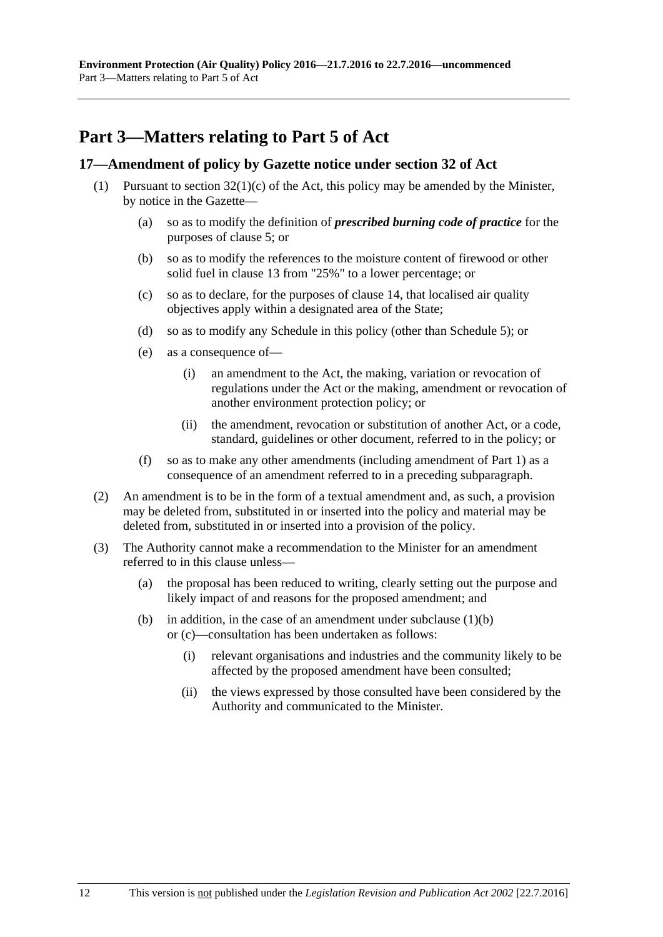## <span id="page-11-0"></span>**Part 3—Matters relating to Part 5 of Act**

#### <span id="page-11-1"></span>**17—Amendment of policy by Gazette notice under section 32 of Act**

- <span id="page-11-3"></span><span id="page-11-2"></span>(1) Pursuant to section  $32(1)(c)$  of the Act, this policy may be amended by the Minister, by notice in the Gazette—
	- (a) so as to modify the definition of *prescribed burning code of practice* for the purposes of [clause](#page-4-2) 5; or
	- (b) so as to modify the references to the moisture content of firewood or other solid fuel in [clause](#page-9-0) 13 from "25%" to a lower percentage; or
	- (c) so as to declare, for the purposes of [clause](#page-9-2) 14, that localised air quality objectives apply within a designated area of the State;
	- (d) so as to modify any Schedule in this policy (other than [Schedule](#page-22-0) 5); or
	- (e) as a consequence of—
		- (i) an amendment to the Act, the making, variation or revocation of regulations under the Act or the making, amendment or revocation of another environment protection policy; or
		- (ii) the amendment, revocation or substitution of another Act, or a code, standard, guidelines or other document, referred to in the policy; or
	- (f) so as to make any other amendments (including amendment of [Part](#page-1-0) 1) as a consequence of an amendment referred to in a preceding subparagraph.
- (2) An amendment is to be in the form of a textual amendment and, as such, a provision may be deleted from, substituted in or inserted into the policy and material may be deleted from, substituted in or inserted into a provision of the policy.
- (3) The Authority cannot make a recommendation to the Minister for an amendment referred to in this clause unless—
	- (a) the proposal has been reduced to writing, clearly setting out the purpose and likely impact of and reasons for the proposed amendment; and
	- (b) in addition, in the case of an amendment under [subclause](#page-11-2)  $(1)(b)$ or [\(c\)—](#page-11-3)consultation has been undertaken as follows:
		- (i) relevant organisations and industries and the community likely to be affected by the proposed amendment have been consulted;
		- (ii) the views expressed by those consulted have been considered by the Authority and communicated to the Minister.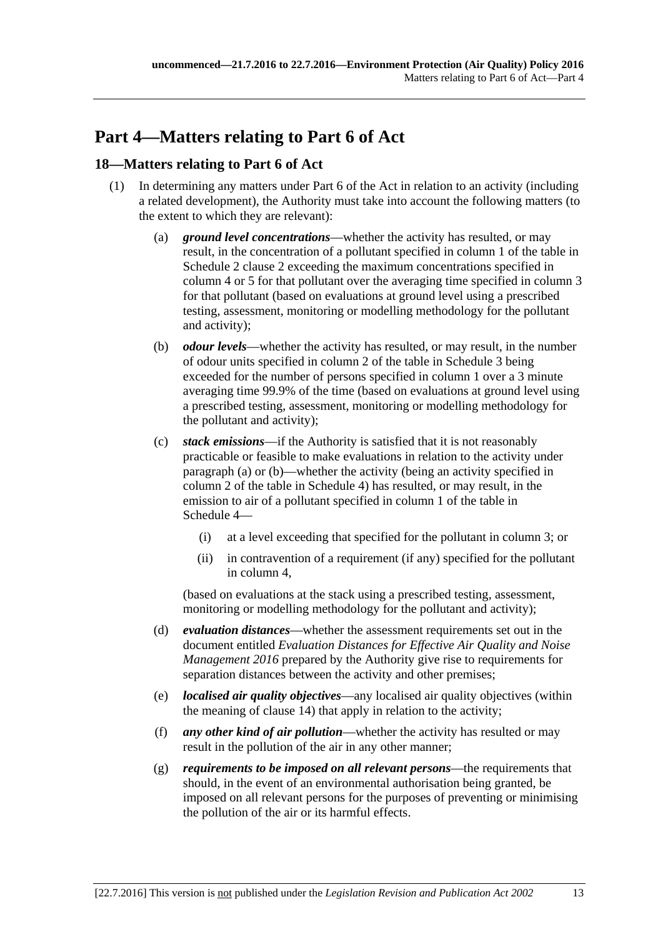## <span id="page-12-0"></span>**Part 4—Matters relating to Part 6 of Act**

### <span id="page-12-1"></span>**18—Matters relating to Part 6 of Act**

- <span id="page-12-3"></span><span id="page-12-2"></span>(1) In determining any matters under Part 6 of the Act in relation to an activity (including a related development), the Authority must take into account the following matters (to the extent to which they are relevant):
	- (a) *ground level concentrations*—whether the activity has resulted, or may result, in the concentration of a pollutant specified in column 1 of the table in [Schedule](#page-13-3) 2 clause 2 exceeding the maximum concentrations specified in column 4 or 5 for that pollutant over the averaging time specified in column 3 for that pollutant (based on evaluations at ground level using a prescribed testing, assessment, monitoring or modelling methodology for the pollutant and activity);
	- (b) *odour levels*—whether the activity has resulted, or may result, in the number of odour units specified in column 2 of the table in [Schedule](#page-20-0) 3 being exceeded for the number of persons specified in column 1 over a 3 minute averaging time 99.9% of the time (based on evaluations at ground level using a prescribed testing, assessment, monitoring or modelling methodology for the pollutant and activity);
	- (c) *stack emissions*—if the Authority is satisfied that it is not reasonably practicable or feasible to make evaluations in relation to the activity under [paragraph](#page-12-2) (a) or [\(b\)—](#page-12-3)whether the activity (being an activity specified in column 2 of the table in [Schedule](#page-21-0) 4) has resulted, or may result, in the emission to air of a pollutant specified in column 1 of the table in [Schedule](#page-21-0) 4—
		- (i) at a level exceeding that specified for the pollutant in column 3; or
		- (ii) in contravention of a requirement (if any) specified for the pollutant in column 4,

<span id="page-12-4"></span>(based on evaluations at the stack using a prescribed testing, assessment, monitoring or modelling methodology for the pollutant and activity);

- (d) *evaluation distances*—whether the assessment requirements set out in the document entitled *Evaluation Distances for Effective Air Quality and Noise Management 2016* prepared by the Authority give rise to requirements for separation distances between the activity and other premises;
- (e) *localised air quality objectives*—any localised air quality objectives (within the meaning of [clause](#page-9-2) 14) that apply in relation to the activity;
- (f) *any other kind of air pollution*—whether the activity has resulted or may result in the pollution of the air in any other manner;
- (g) *requirements to be imposed on all relevant persons*—the requirements that should, in the event of an environmental authorisation being granted, be imposed on all relevant persons for the purposes of preventing or minimising the pollution of the air or its harmful effects.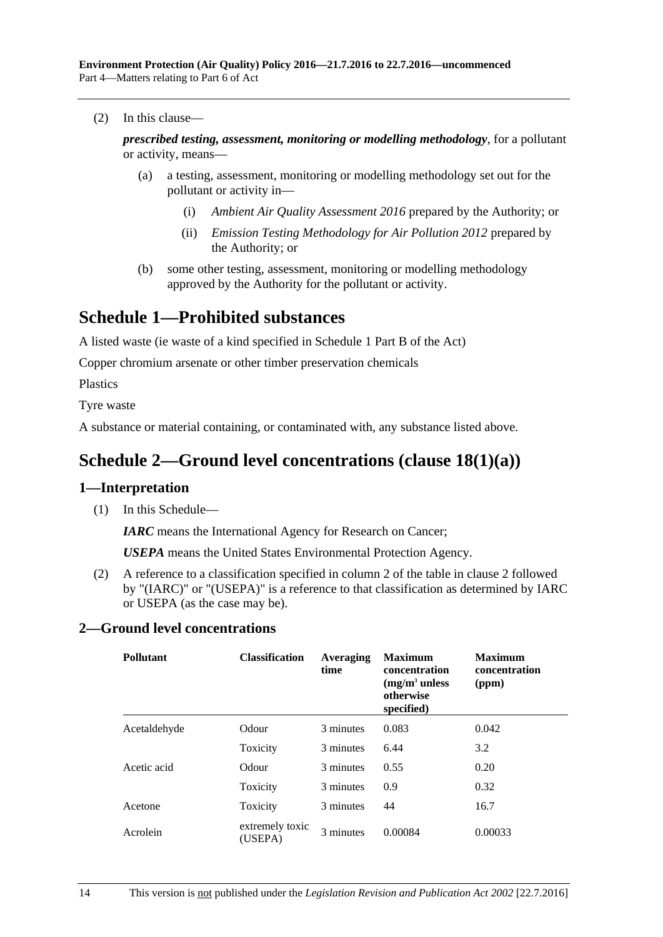(2) In this clause—

*prescribed testing, assessment, monitoring or modelling methodology*, for a pollutant or activity, means—

- (a) a testing, assessment, monitoring or modelling methodology set out for the pollutant or activity in—
	- (i) *Ambient Air Quality Assessment 2016* prepared by the Authority; or
	- (ii) *Emission Testing Methodology for Air Pollution 2012* prepared by the Authority; or
- (b) some other testing, assessment, monitoring or modelling methodology approved by the Authority for the pollutant or activity.

## <span id="page-13-0"></span>**Schedule 1—Prohibited substances**

A listed waste (ie waste of a kind specified in Schedule 1 Part B of the Act)

Copper chromium arsenate or other timber preservation chemicals

Plastics

Tyre waste

<span id="page-13-1"></span>A substance or material containing, or contaminated with, any substance listed above.

## **Schedule 2—Ground level concentrations (clause [18\(1\)\(a\)\)](#page-12-2)**

### <span id="page-13-2"></span>**1—Interpretation**

(1) In this Schedule—

*IARC* means the International Agency for Research on Cancer;

*USEPA* means the United States Environmental Protection Agency.

(2) A reference to a classification specified in column 2 of the table in [clause](#page-13-3) 2 followed by "(IARC)" or "(USEPA)" is a reference to that classification as determined by IARC or USEPA (as the case may be).

#### <span id="page-13-3"></span>**2—Ground level concentrations**

| <b>Pollutant</b> | <b>Classification</b>      | Averaging<br>time | <b>Maximum</b><br>concentration<br>$(mg/m3$ unless<br>otherwise<br>specified) | <b>Maximum</b><br>concentration<br>(ppm) |
|------------------|----------------------------|-------------------|-------------------------------------------------------------------------------|------------------------------------------|
| Acetaldehyde     | Odour                      | 3 minutes         | 0.083                                                                         | 0.042                                    |
|                  | Toxicity                   | 3 minutes         | 6.44                                                                          | 3.2                                      |
| Acetic acid      | Odour                      | 3 minutes         | 0.55                                                                          | 0.20                                     |
|                  | Toxicity                   | 3 minutes         | 0.9                                                                           | 0.32                                     |
| Acetone          | Toxicity                   | 3 minutes         | 44                                                                            | 16.7                                     |
| Acrolein         | extremely toxic<br>(USEPA) | 3 minutes         | 0.00084                                                                       | 0.00033                                  |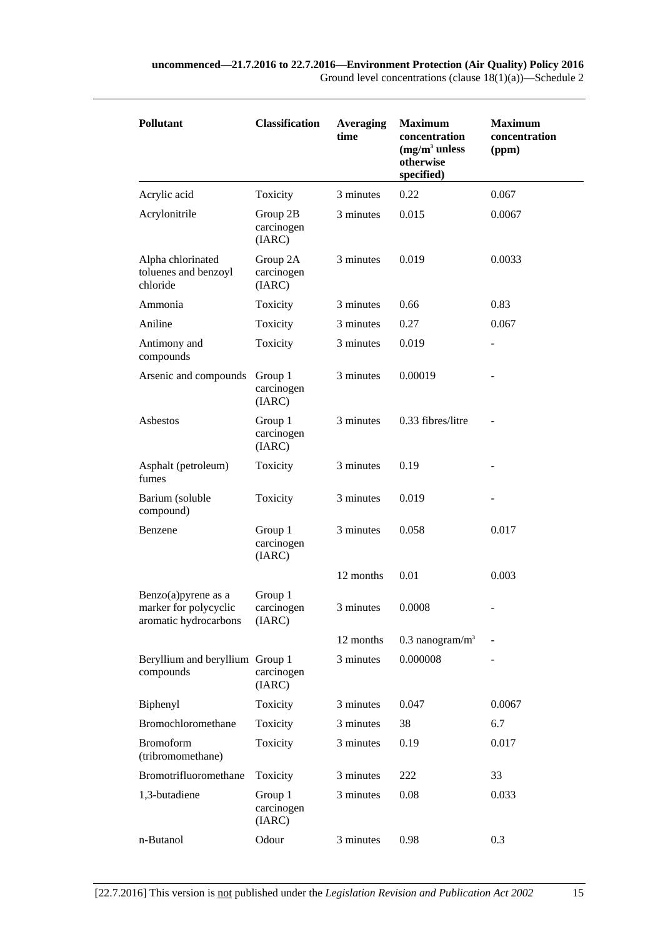| <b>Pollutant</b>                                                      | <b>Classification</b>            | <b>Averaging</b><br>time | <b>Maximum</b><br>concentration<br>$(mg/m3$ unless<br>otherwise<br>specified) | <b>Maximum</b><br>concentration<br>(ppm) |
|-----------------------------------------------------------------------|----------------------------------|--------------------------|-------------------------------------------------------------------------------|------------------------------------------|
| Acrylic acid                                                          | Toxicity                         | 3 minutes                | 0.22                                                                          | 0.067                                    |
| Acrylonitrile                                                         | Group 2B<br>carcinogen<br>(IARC) | 3 minutes                | 0.015                                                                         | 0.0067                                   |
| Alpha chlorinated<br>toluenes and benzoyl<br>chloride                 | Group 2A<br>carcinogen<br>(IARC) | 3 minutes                | 0.019                                                                         | 0.0033                                   |
| Ammonia                                                               | Toxicity                         | 3 minutes                | 0.66                                                                          | 0.83                                     |
| Aniline                                                               | Toxicity                         | 3 minutes                | 0.27                                                                          | 0.067                                    |
| Antimony and<br>compounds                                             | Toxicity                         | 3 minutes                | 0.019                                                                         |                                          |
| Arsenic and compounds                                                 | Group 1<br>carcinogen<br>(IARC)  | 3 minutes                | 0.00019                                                                       |                                          |
| Asbestos                                                              | Group 1<br>carcinogen<br>(IARC)  | 3 minutes                | 0.33 fibres/litre                                                             |                                          |
| Asphalt (petroleum)<br>fumes                                          | Toxicity                         | 3 minutes                | 0.19                                                                          |                                          |
| Barium (soluble<br>compound)                                          | Toxicity                         | 3 minutes                | 0.019                                                                         |                                          |
| Benzene                                                               | Group 1<br>carcinogen<br>(IARC)  | 3 minutes                | 0.058                                                                         | 0.017                                    |
|                                                                       |                                  | 12 months                | 0.01                                                                          | 0.003                                    |
| Benzo(a)pyrene as a<br>marker for polycyclic<br>aromatic hydrocarbons | Group 1<br>carcinogen<br>(IARC)  | 3 minutes                | 0.0008                                                                        |                                          |
|                                                                       |                                  | 12 months                | $0.3$ nanogram/m <sup>3</sup>                                                 |                                          |
| Beryllium and beryllium Group 1<br>compounds                          | carcinogen<br>(IARC)             | 3 minutes                | 0.000008                                                                      |                                          |
| Biphenyl                                                              | Toxicity                         | 3 minutes                | 0.047                                                                         | 0.0067                                   |
| Bromochloromethane                                                    | Toxicity                         | 3 minutes                | 38                                                                            | 6.7                                      |
| <b>Bromoform</b><br>(tribromomethane)                                 | Toxicity                         | 3 minutes                | 0.19                                                                          | 0.017                                    |
| Bromotrifluoromethane                                                 | Toxicity                         | 3 minutes                | 222                                                                           | 33                                       |
| 1,3-butadiene                                                         | Group 1<br>carcinogen<br>(IARC)  | 3 minutes                | 0.08                                                                          | 0.033                                    |
| n-Butanol                                                             | Odour                            | 3 minutes                | 0.98                                                                          | 0.3                                      |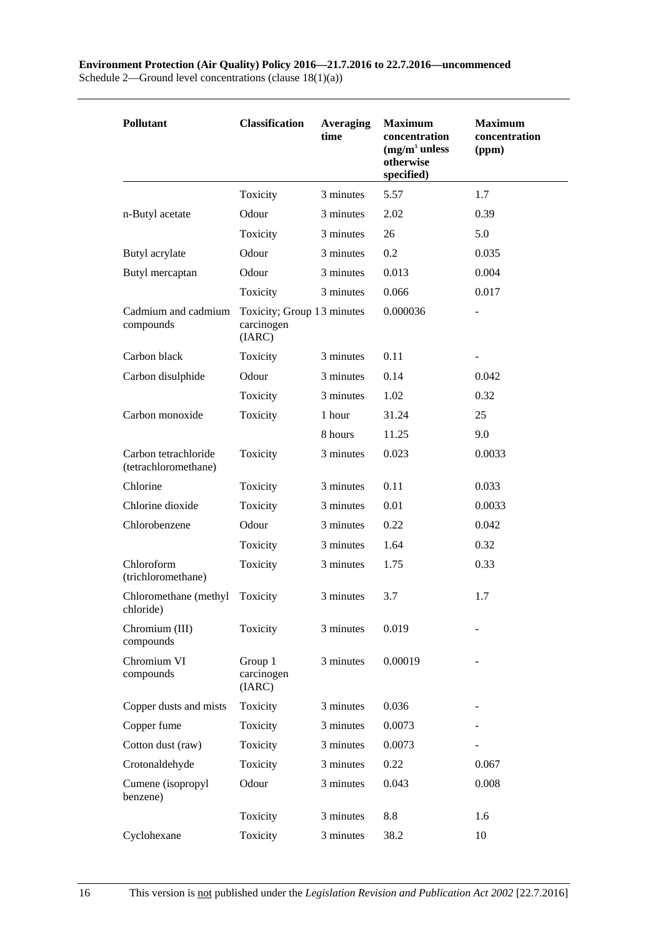#### **Environment Protection (Air Quality) Policy 2016—21.7.2016 to 22.7.2016—uncommenced** Schedule 2—Ground level concentrations (clause 18(1)(a))

| <b>Pollutant</b>                             | <b>Classification</b>                              | <b>Averaging</b><br>time | <b>Maximum</b><br>concentration<br>$(mg/m3$ unless<br>otherwise<br>specified) | <b>Maximum</b><br>concentration<br>(ppm) |
|----------------------------------------------|----------------------------------------------------|--------------------------|-------------------------------------------------------------------------------|------------------------------------------|
|                                              | Toxicity                                           | 3 minutes                | 5.57                                                                          | 1.7                                      |
| n-Butyl acetate                              | Odour                                              | 3 minutes                | 2.02                                                                          | 0.39                                     |
|                                              | Toxicity                                           | 3 minutes                | 26                                                                            | 5.0                                      |
| Butyl acrylate                               | Odour                                              | 3 minutes                | 0.2                                                                           | 0.035                                    |
| Butyl mercaptan                              | Odour                                              | 3 minutes                | 0.013                                                                         | 0.004                                    |
|                                              | Toxicity                                           | 3 minutes                | 0.066                                                                         | 0.017                                    |
| Cadmium and cadmium<br>compounds             | Toxicity; Group 13 minutes<br>carcinogen<br>(IARC) |                          | 0.000036                                                                      |                                          |
| Carbon black                                 | Toxicity                                           | 3 minutes                | 0.11                                                                          |                                          |
| Carbon disulphide                            | Odour                                              | 3 minutes                | 0.14                                                                          | 0.042                                    |
|                                              | Toxicity                                           | 3 minutes                | 1.02                                                                          | 0.32                                     |
| Carbon monoxide                              | Toxicity                                           | 1 hour                   | 31.24                                                                         | 25                                       |
|                                              |                                                    | 8 hours                  | 11.25                                                                         | 9.0                                      |
| Carbon tetrachloride<br>(tetrachloromethane) | Toxicity                                           | 3 minutes                | 0.023                                                                         | 0.0033                                   |
| Chlorine                                     | Toxicity                                           | 3 minutes                | 0.11                                                                          | 0.033                                    |
| Chlorine dioxide                             | Toxicity                                           | 3 minutes                | 0.01                                                                          | 0.0033                                   |
| Chlorobenzene                                | Odour                                              | 3 minutes                | 0.22                                                                          | 0.042                                    |
|                                              | Toxicity                                           | 3 minutes                | 1.64                                                                          | 0.32                                     |
| Chloroform<br>(trichloromethane)             | Toxicity                                           | 3 minutes                | 1.75                                                                          | 0.33                                     |
| Chloromethane (methyl<br>chloride)           | Toxicity                                           | 3 minutes                | 3.7                                                                           | 1.7                                      |
| Chromium (III)<br>compounds                  | Toxicity                                           | 3 minutes                | 0.019                                                                         |                                          |
| Chromium VI<br>compounds                     | Group 1<br>carcinogen<br>(IARC)                    | 3 minutes                | 0.00019                                                                       |                                          |
| Copper dusts and mists                       | Toxicity                                           | 3 minutes                | 0.036                                                                         |                                          |
| Copper fume                                  | Toxicity                                           | 3 minutes                | 0.0073                                                                        |                                          |
| Cotton dust (raw)                            | Toxicity                                           | 3 minutes                | 0.0073                                                                        |                                          |
| Crotonaldehyde                               | Toxicity                                           | 3 minutes                | 0.22                                                                          | 0.067                                    |
| Cumene (isopropyl<br>benzene)                | Odour                                              | 3 minutes                | 0.043                                                                         | 0.008                                    |
|                                              | Toxicity                                           | 3 minutes                | 8.8                                                                           | 1.6                                      |
| Cyclohexane                                  | Toxicity                                           | 3 minutes                | 38.2                                                                          | 10                                       |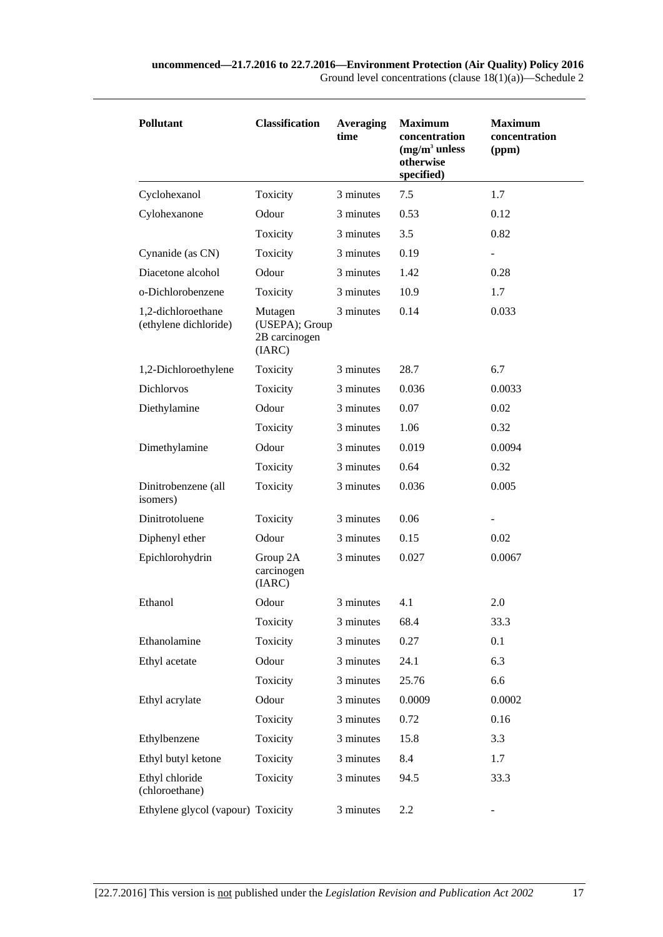| <b>Pollutant</b>                            | <b>Classification</b>                                | <b>Averaging</b><br>time | <b>Maximum</b><br>concentration<br>$(mg/m3$ unless<br>otherwise<br>specified) | <b>Maximum</b><br>concentration<br>(ppm) |
|---------------------------------------------|------------------------------------------------------|--------------------------|-------------------------------------------------------------------------------|------------------------------------------|
| Cyclohexanol                                | Toxicity                                             | 3 minutes                | 7.5                                                                           | 1.7                                      |
| Cylohexanone                                | Odour                                                | 3 minutes                | 0.53                                                                          | 0.12                                     |
|                                             | Toxicity                                             | 3 minutes                | 3.5                                                                           | 0.82                                     |
| Cynanide (as CN)                            | Toxicity                                             | 3 minutes                | 0.19                                                                          | $\overline{\phantom{a}}$                 |
| Diacetone alcohol                           | Odour                                                | 3 minutes                | 1.42                                                                          | 0.28                                     |
| o-Dichlorobenzene                           | Toxicity                                             | 3 minutes                | 10.9                                                                          | 1.7                                      |
| 1,2-dichloroethane<br>(ethylene dichloride) | Mutagen<br>(USEPA); Group<br>2B carcinogen<br>(IARC) | 3 minutes                | 0.14                                                                          | 0.033                                    |
| 1,2-Dichloroethylene                        | Toxicity                                             | 3 minutes                | 28.7                                                                          | 6.7                                      |
| Dichlorvos                                  | Toxicity                                             | 3 minutes                | 0.036                                                                         | 0.0033                                   |
| Diethylamine                                | Odour                                                | 3 minutes                | 0.07                                                                          | 0.02                                     |
|                                             | Toxicity                                             | 3 minutes                | 1.06                                                                          | 0.32                                     |
| Dimethylamine                               | Odour                                                | 3 minutes                | 0.019                                                                         | 0.0094                                   |
|                                             | Toxicity                                             | 3 minutes                | 0.64                                                                          | 0.32                                     |
| Dinitrobenzene (all<br>isomers)             | Toxicity                                             | 3 minutes                | 0.036                                                                         | 0.005                                    |
| Dinitrotoluene                              | Toxicity                                             | 3 minutes                | 0.06                                                                          | $\overline{\phantom{a}}$                 |
| Diphenyl ether                              | Odour                                                | 3 minutes                | 0.15                                                                          | 0.02                                     |
| Epichlorohydrin                             | Group 2A<br>carcinogen<br>(IARC)                     | 3 minutes                | 0.027                                                                         | 0.0067                                   |
| Ethanol                                     | Odour                                                | 3 minutes                | 4.1                                                                           | 2.0                                      |
|                                             | Toxicity                                             | 3 minutes                | 68.4                                                                          | 33.3                                     |
| Ethanolamine                                | Toxicity                                             | 3 minutes                | 0.27                                                                          | 0.1                                      |
| Ethyl acetate                               | Odour                                                | 3 minutes                | 24.1                                                                          | 6.3                                      |
|                                             | Toxicity                                             | 3 minutes                | 25.76                                                                         | 6.6                                      |
| Ethyl acrylate                              | Odour                                                | 3 minutes                | 0.0009                                                                        | 0.0002                                   |
|                                             | Toxicity                                             | 3 minutes                | 0.72                                                                          | 0.16                                     |
| Ethylbenzene                                | Toxicity                                             | 3 minutes                | 15.8                                                                          | 3.3                                      |
| Ethyl butyl ketone                          | Toxicity                                             | 3 minutes                | 8.4                                                                           | 1.7                                      |
| Ethyl chloride<br>(chloroethane)            | Toxicity                                             | 3 minutes                | 94.5                                                                          | 33.3                                     |
| Ethylene glycol (vapour) Toxicity           |                                                      | 3 minutes                | 2.2                                                                           | $\overline{\phantom{0}}$                 |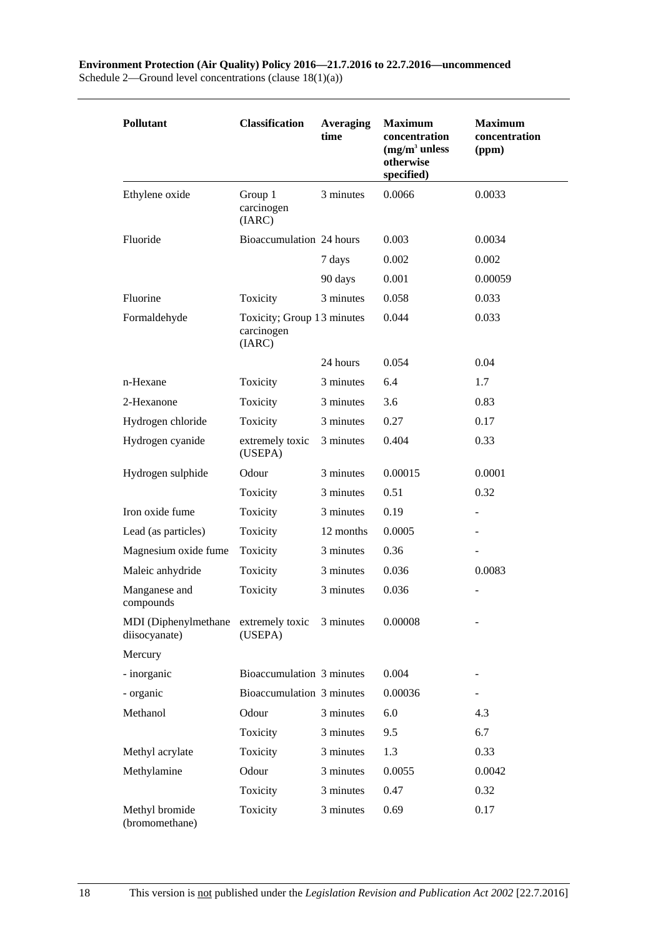| <b>Pollutant</b>                                      | <b>Classification</b>                              | Averaging<br>time | <b>Maximum</b><br>concentration<br>$(mg/m3$ unless<br>otherwise<br>specified) | <b>Maximum</b><br>concentration<br>(ppm) |
|-------------------------------------------------------|----------------------------------------------------|-------------------|-------------------------------------------------------------------------------|------------------------------------------|
| Ethylene oxide                                        | Group 1<br>carcinogen<br>(IARC)                    | 3 minutes         | 0.0066                                                                        | 0.0033                                   |
| Fluoride                                              | Bioaccumulation 24 hours                           |                   | 0.003                                                                         | 0.0034                                   |
|                                                       |                                                    | 7 days            | 0.002                                                                         | 0.002                                    |
|                                                       |                                                    | 90 days           | 0.001                                                                         | 0.00059                                  |
| Fluorine                                              | Toxicity                                           | 3 minutes         | 0.058                                                                         | 0.033                                    |
| Formaldehyde                                          | Toxicity; Group 13 minutes<br>carcinogen<br>(IARC) |                   | 0.044                                                                         | 0.033                                    |
|                                                       |                                                    | 24 hours          | 0.054                                                                         | 0.04                                     |
| n-Hexane                                              | Toxicity                                           | 3 minutes         | 6.4                                                                           | 1.7                                      |
| 2-Hexanone                                            | Toxicity                                           | 3 minutes         | 3.6                                                                           | 0.83                                     |
| Hydrogen chloride                                     | Toxicity                                           | 3 minutes         | 0.27                                                                          | 0.17                                     |
| Hydrogen cyanide                                      | extremely toxic<br>(USEPA)                         | 3 minutes         | 0.404                                                                         | 0.33                                     |
| Hydrogen sulphide                                     | Odour                                              | 3 minutes         | 0.00015                                                                       | 0.0001                                   |
|                                                       | Toxicity                                           | 3 minutes         | 0.51                                                                          | 0.32                                     |
| Iron oxide fume                                       | Toxicity                                           | 3 minutes         | 0.19                                                                          |                                          |
| Lead (as particles)                                   | Toxicity                                           | 12 months         | 0.0005                                                                        |                                          |
| Magnesium oxide fume                                  | Toxicity                                           | 3 minutes         | 0.36                                                                          |                                          |
| Maleic anhydride                                      | Toxicity                                           | 3 minutes         | 0.036                                                                         | 0.0083                                   |
| Manganese and<br>compounds                            | Toxicity                                           | 3 minutes         | 0.036                                                                         |                                          |
| MDI (Diphenylmethane extremely toxic<br>diisocyanate) | (USEPA)                                            | 3 minutes         | 0.00008                                                                       |                                          |
| Mercury                                               |                                                    |                   |                                                                               |                                          |
| - inorganic                                           | Bioaccumulation 3 minutes                          |                   | 0.004                                                                         |                                          |
| - organic                                             | Bioaccumulation 3 minutes                          |                   | 0.00036                                                                       |                                          |
| Methanol                                              | Odour                                              | 3 minutes         | 6.0                                                                           | 4.3                                      |
|                                                       | Toxicity                                           | 3 minutes         | 9.5                                                                           | 6.7                                      |
| Methyl acrylate                                       | Toxicity                                           | 3 minutes         | 1.3                                                                           | 0.33                                     |
| Methylamine                                           | Odour                                              | 3 minutes         | 0.0055                                                                        | 0.0042                                   |
|                                                       | Toxicity                                           | 3 minutes         | 0.47                                                                          | 0.32                                     |
| Methyl bromide<br>(bromomethane)                      | Toxicity                                           | 3 minutes         | 0.69                                                                          | 0.17                                     |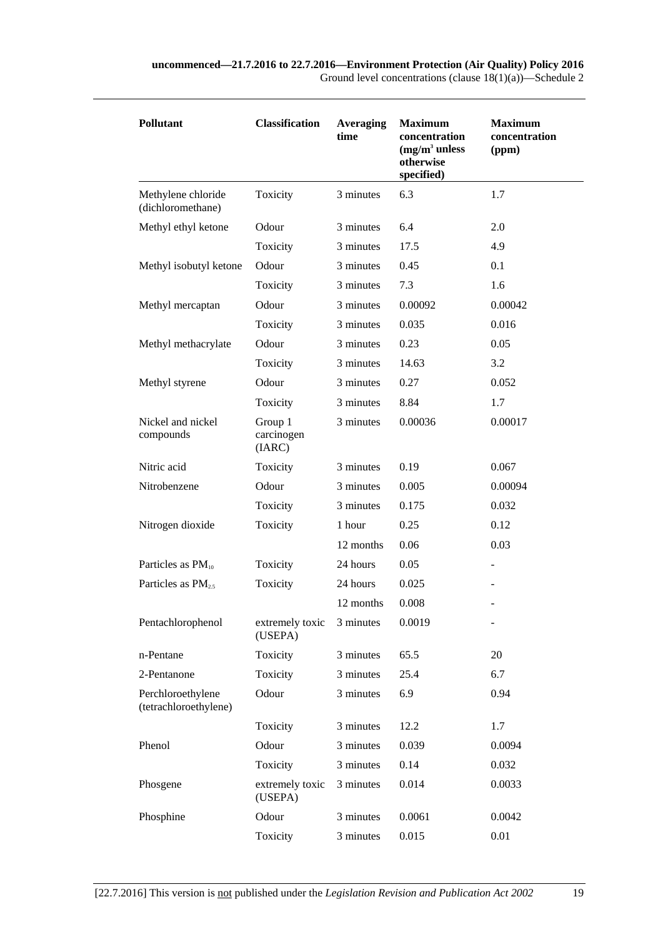| Pollutant                                  | <b>Classification</b>           | <b>Averaging</b><br>time | <b>Maximum</b><br>concentration<br>$(mg/m3$ unless<br>otherwise<br>specified) | <b>Maximum</b><br>concentration<br>(ppm) |
|--------------------------------------------|---------------------------------|--------------------------|-------------------------------------------------------------------------------|------------------------------------------|
| Methylene chloride<br>(dichloromethane)    | Toxicity                        | 3 minutes                | 6.3                                                                           | 1.7                                      |
| Methyl ethyl ketone                        | Odour                           | 3 minutes                | 6.4                                                                           | 2.0                                      |
|                                            | Toxicity                        | 3 minutes                | 17.5                                                                          | 4.9                                      |
| Methyl isobutyl ketone                     | Odour                           | 3 minutes                | 0.45                                                                          | 0.1                                      |
|                                            | Toxicity                        | 3 minutes                | 7.3                                                                           | 1.6                                      |
| Methyl mercaptan                           | Odour                           | 3 minutes                | 0.00092                                                                       | 0.00042                                  |
|                                            | Toxicity                        | 3 minutes                | 0.035                                                                         | 0.016                                    |
| Methyl methacrylate                        | Odour                           | 3 minutes                | 0.23                                                                          | 0.05                                     |
|                                            | Toxicity                        | 3 minutes                | 14.63                                                                         | 3.2                                      |
| Methyl styrene                             | Odour                           | 3 minutes                | 0.27                                                                          | 0.052                                    |
|                                            | Toxicity                        | 3 minutes                | 8.84                                                                          | 1.7                                      |
| Nickel and nickel<br>compounds             | Group 1<br>carcinogen<br>(IARC) | 3 minutes                | 0.00036                                                                       | 0.00017                                  |
| Nitric acid                                | Toxicity                        | 3 minutes                | 0.19                                                                          | 0.067                                    |
| Nitrobenzene                               | Odour                           | 3 minutes                | 0.005                                                                         | 0.00094                                  |
|                                            | Toxicity                        | 3 minutes                | 0.175                                                                         | 0.032                                    |
| Nitrogen dioxide                           | Toxicity                        | 1 hour                   | 0.25                                                                          | 0.12                                     |
|                                            |                                 | 12 months                | 0.06                                                                          | 0.03                                     |
| Particles as $PM_{10}$                     | Toxicity                        | 24 hours                 | 0.05                                                                          |                                          |
| Particles as $PM_{2.5}$                    | Toxicity                        | 24 hours                 | 0.025                                                                         |                                          |
|                                            |                                 | 12 months                | 0.008                                                                         |                                          |
| Pentachlorophenol                          | extremely toxic<br>(USEPA)      | 3 minutes                | 0.0019                                                                        |                                          |
| n-Pentane                                  | Toxicity                        | 3 minutes                | 65.5                                                                          | 20                                       |
| 2-Pentanone                                | Toxicity                        | 3 minutes                | 25.4                                                                          | 6.7                                      |
| Perchloroethylene<br>(tetrachloroethylene) | Odour                           | 3 minutes                | 6.9                                                                           | 0.94                                     |
|                                            | Toxicity                        | 3 minutes                | 12.2                                                                          | 1.7                                      |
| Phenol                                     | Odour                           | 3 minutes                | 0.039                                                                         | 0.0094                                   |
|                                            | Toxicity                        | 3 minutes                | 0.14                                                                          | 0.032                                    |
| Phosgene                                   | extremely toxic<br>(USEPA)      | 3 minutes                | 0.014                                                                         | 0.0033                                   |
| Phosphine                                  | Odour                           | 3 minutes                | 0.0061                                                                        | 0.0042                                   |
|                                            | Toxicity                        | 3 minutes                | 0.015                                                                         | 0.01                                     |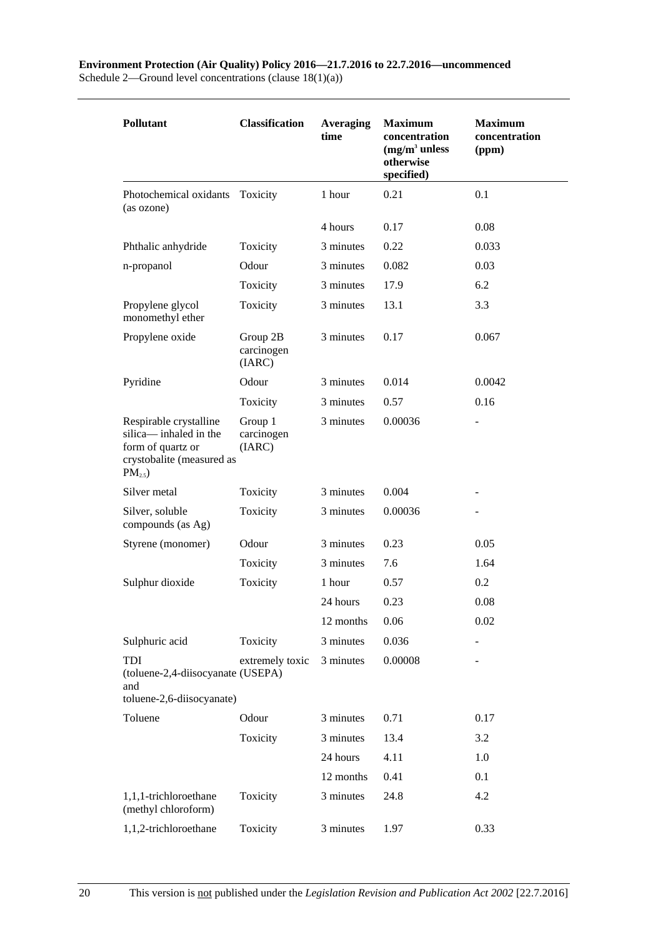| <b>Pollutant</b>                                                                                                       | <b>Classification</b>            | Averaging<br>time | <b>Maximum</b><br>concentration<br>$(mg/m3$ unless<br>otherwise<br>specified) | <b>Maximum</b><br>concentration<br>(ppm) |
|------------------------------------------------------------------------------------------------------------------------|----------------------------------|-------------------|-------------------------------------------------------------------------------|------------------------------------------|
| Photochemical oxidants<br>(as ozone)                                                                                   | Toxicity                         | 1 hour            | 0.21                                                                          | 0.1                                      |
|                                                                                                                        |                                  | 4 hours           | 0.17                                                                          | 0.08                                     |
| Phthalic anhydride                                                                                                     | Toxicity                         | 3 minutes         | 0.22                                                                          | 0.033                                    |
| n-propanol                                                                                                             | Odour                            | 3 minutes         | 0.082                                                                         | 0.03                                     |
|                                                                                                                        | Toxicity                         | 3 minutes         | 17.9                                                                          | 6.2                                      |
| Propylene glycol<br>monomethyl ether                                                                                   | Toxicity                         | 3 minutes         | 13.1                                                                          | 3.3                                      |
| Propylene oxide                                                                                                        | Group 2B<br>carcinogen<br>(IARC) | 3 minutes         | 0.17                                                                          | 0.067                                    |
| Pyridine                                                                                                               | Odour                            | 3 minutes         | 0.014                                                                         | 0.0042                                   |
|                                                                                                                        | Toxicity                         | 3 minutes         | 0.57                                                                          | 0.16                                     |
| Respirable crystalline<br>silica-inhaled in the<br>form of quartz or<br>crystobalite (measured as<br>PM <sub>2.5</sub> | Group 1<br>carcinogen<br>(IARC)  | 3 minutes         | 0.00036                                                                       |                                          |
| Silver metal                                                                                                           | Toxicity                         | 3 minutes         | 0.004                                                                         |                                          |
| Silver, soluble<br>compounds (as Ag)                                                                                   | Toxicity                         | 3 minutes         | 0.00036                                                                       |                                          |
| Styrene (monomer)                                                                                                      | Odour                            | 3 minutes         | 0.23                                                                          | 0.05                                     |
|                                                                                                                        | Toxicity                         | 3 minutes         | 7.6                                                                           | 1.64                                     |
| Sulphur dioxide                                                                                                        | Toxicity                         | 1 hour            | 0.57                                                                          | 0.2                                      |
|                                                                                                                        |                                  | 24 hours          | 0.23                                                                          | 0.08                                     |
|                                                                                                                        |                                  | 12 months         | 0.06                                                                          | 0.02                                     |
| Sulphuric acid                                                                                                         | Toxicity                         | 3 minutes         | 0.036                                                                         |                                          |
| TDI<br>(toluene-2,4-diisocyanate (USEPA)<br>and<br>toluene-2,6-diisocyanate)                                           | extremely toxic                  | 3 minutes         | 0.00008                                                                       |                                          |
| Toluene                                                                                                                | Odour                            | 3 minutes         | 0.71                                                                          | 0.17                                     |
|                                                                                                                        | Toxicity                         | 3 minutes         | 13.4                                                                          | 3.2                                      |
|                                                                                                                        |                                  | 24 hours          | 4.11                                                                          | 1.0                                      |
|                                                                                                                        |                                  | 12 months         | 0.41                                                                          | 0.1                                      |
| 1,1,1-trichloroethane<br>(methyl chloroform)                                                                           | Toxicity                         | 3 minutes         | 24.8                                                                          | 4.2                                      |
| 1,1,2-trichloroethane                                                                                                  | Toxicity                         | 3 minutes         | 1.97                                                                          | 0.33                                     |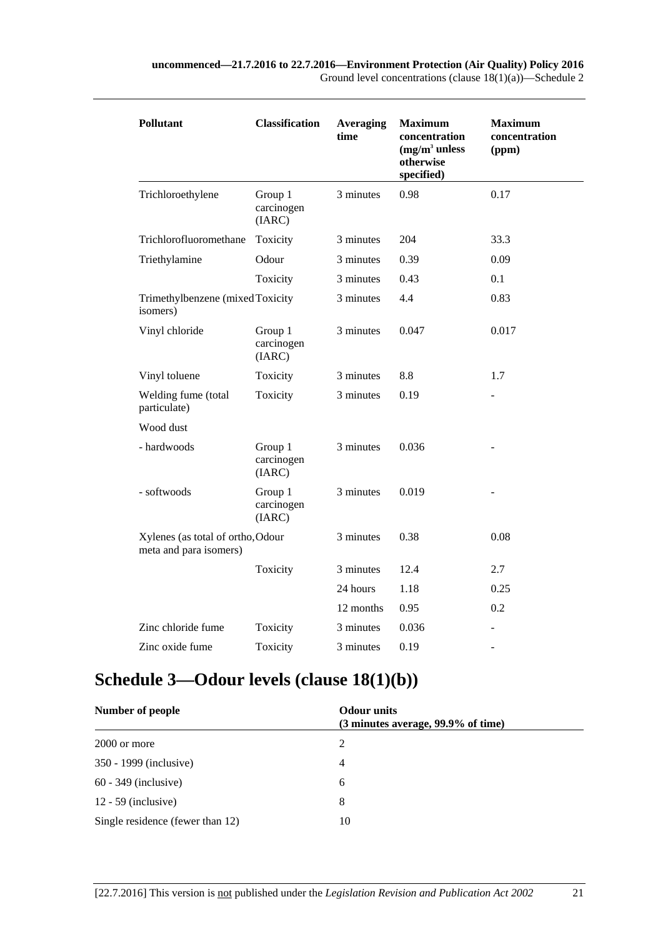| Pollutant                                                   | <b>Classification</b>           | <b>Averaging</b><br>time | <b>Maximum</b><br>concentration<br>$(mg/m3)$ unless<br>otherwise<br>specified) | <b>Maximum</b><br>concentration<br>(ppm) |
|-------------------------------------------------------------|---------------------------------|--------------------------|--------------------------------------------------------------------------------|------------------------------------------|
| Trichloroethylene                                           | Group 1<br>carcinogen<br>(IARC) | 3 minutes                | 0.98                                                                           | 0.17                                     |
| Trichlorofluoromethane                                      | Toxicity                        | 3 minutes                | 204                                                                            | 33.3                                     |
| Triethylamine                                               | Odour                           | 3 minutes                | 0.39                                                                           | 0.09                                     |
|                                                             | Toxicity                        | 3 minutes                | 0.43                                                                           | 0.1                                      |
| Trimethylbenzene (mixed Toxicity<br>isomers)                |                                 | 3 minutes                | 4.4                                                                            | 0.83                                     |
| Vinyl chloride                                              | Group 1<br>carcinogen<br>(IARC) | 3 minutes                | 0.047                                                                          | 0.017                                    |
| Vinyl toluene                                               | Toxicity                        | 3 minutes                | 8.8                                                                            | 1.7                                      |
| Welding fume (total<br>particulate)                         | Toxicity                        | 3 minutes                | 0.19                                                                           |                                          |
| Wood dust                                                   |                                 |                          |                                                                                |                                          |
| - hardwoods                                                 | Group 1<br>carcinogen<br>(IARC) | 3 minutes                | 0.036                                                                          |                                          |
| - softwoods                                                 | Group 1<br>carcinogen<br>(IARC) | 3 minutes                | 0.019                                                                          |                                          |
| Xylenes (as total of ortho, Odour<br>meta and para isomers) |                                 | 3 minutes                | 0.38                                                                           | 0.08                                     |
|                                                             | Toxicity                        | 3 minutes                | 12.4                                                                           | 2.7                                      |
|                                                             |                                 | 24 hours                 | 1.18                                                                           | 0.25                                     |
|                                                             |                                 | 12 months                | 0.95                                                                           | 0.2                                      |
| Zinc chloride fume                                          | Toxicity                        | 3 minutes                | 0.036                                                                          |                                          |
| Zinc oxide fume                                             | Toxicity                        | 3 minutes                | 0.19                                                                           | ÷,                                       |

# <span id="page-20-0"></span>**Schedule 3—Odour levels (clause [18\(1\)\(b\)\)](#page-12-3)**

| Number of people                 | <b>Odour</b> units<br>(3 minutes average, 99.9% of time) |  |
|----------------------------------|----------------------------------------------------------|--|
| 2000 or more                     | $\mathcal{L}$                                            |  |
| 350 - 1999 (inclusive)           | 4                                                        |  |
| $60 - 349$ (inclusive)           | 6                                                        |  |
| $12 - 59$ (inclusive)            | 8                                                        |  |
| Single residence (fewer than 12) | 10                                                       |  |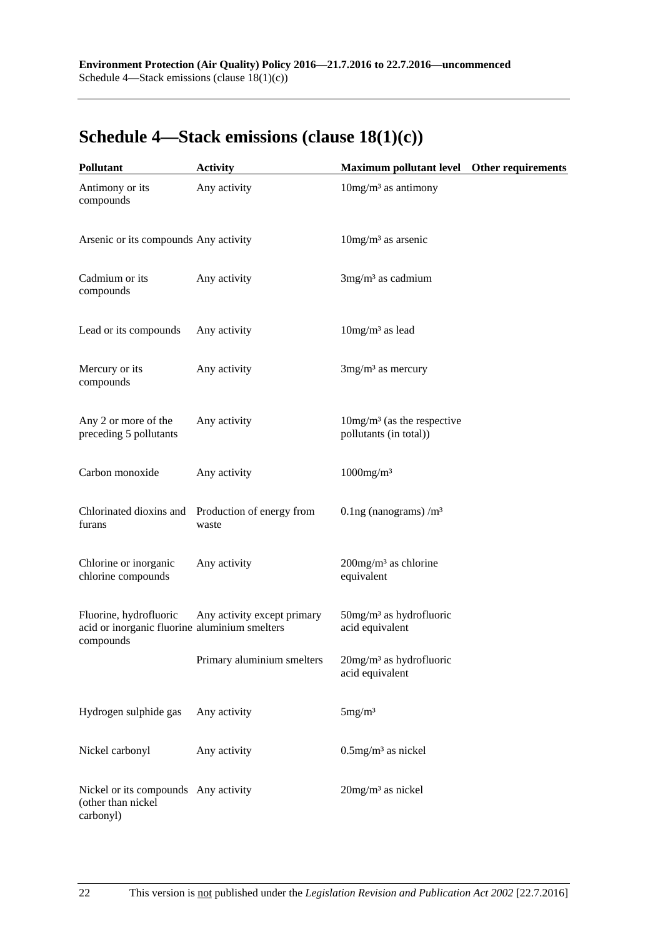## <span id="page-21-0"></span>**Schedule 4—Stack emissions (clause [18\(1\)\(c\)\)](#page-12-4)**

| <b>Pollutant</b>                                                                     | <b>Activity</b>                                            | Maximum pollutant level  Other requirements                        |  |
|--------------------------------------------------------------------------------------|------------------------------------------------------------|--------------------------------------------------------------------|--|
| Antimony or its<br>compounds                                                         | Any activity                                               | $10$ mg/m <sup>3</sup> as antimony                                 |  |
| Arsenic or its compounds Any activity                                                |                                                            | $10$ mg/m <sup>3</sup> as arsenic                                  |  |
| Cadmium or its<br>compounds                                                          | Any activity                                               | $3mg/m3$ as cadmium                                                |  |
| Lead or its compounds                                                                | Any activity                                               | $10mg/m3$ as lead                                                  |  |
| Mercury or its<br>compounds                                                          | Any activity                                               | $3mg/m3$ as mercury                                                |  |
| Any 2 or more of the<br>preceding 5 pollutants                                       | Any activity                                               | $10\,\mathrm{mg/m^3}$ (as the respective<br>pollutants (in total)) |  |
| Carbon monoxide                                                                      | Any activity                                               | $1000$ mg/m <sup>3</sup>                                           |  |
| furans                                                                               | Chlorinated dioxins and Production of energy from<br>waste | 0.1ng (nanograms) $/m3$                                            |  |
| Chlorine or inorganic<br>chlorine compounds                                          | Any activity                                               | $200$ mg/m <sup>3</sup> as chlorine<br>equivalent                  |  |
| Fluorine, hydrofluoric<br>acid or inorganic fluorine aluminium smelters<br>compounds | Any activity except primary                                | $50$ mg/m <sup>3</sup> as hydrofluoric<br>acid equivalent          |  |
|                                                                                      | Primary aluminium smelters                                 | 20mg/m <sup>3</sup> as hydrofluoric<br>acid equivalent             |  |
| Hydrogen sulphide gas                                                                | Any activity                                               | 5mg/m <sup>3</sup>                                                 |  |
| Nickel carbonyl                                                                      | Any activity                                               | $0.5$ mg/m <sup>3</sup> as nickel                                  |  |
| Nickel or its compounds Any activity<br>(other than nickel<br>carbonyl)              |                                                            | 20mg/m <sup>3</sup> as nickel                                      |  |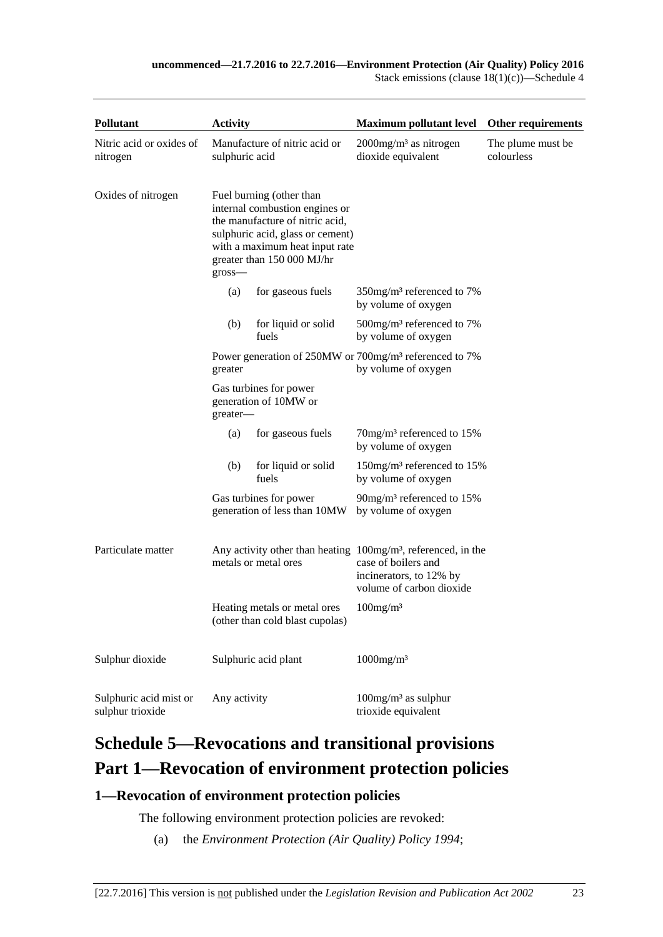Stack emissions (clause  $18(1)(c)$ )—Schedule 4

| <b>Pollutant</b>                           | <b>Activity</b> |                                                                                                                                                                                                   | <b>Maximum pollutant level</b>                                                                                                                | Other requirements               |
|--------------------------------------------|-----------------|---------------------------------------------------------------------------------------------------------------------------------------------------------------------------------------------------|-----------------------------------------------------------------------------------------------------------------------------------------------|----------------------------------|
| Nitric acid or oxides of<br>nitrogen       | sulphuric acid  | Manufacture of nitric acid or                                                                                                                                                                     | $2000$ mg/m <sup>3</sup> as nitrogen<br>dioxide equivalent                                                                                    | The plume must be.<br>colourless |
| Oxides of nitrogen                         | $gross$ —       | Fuel burning (other than<br>internal combustion engines or<br>the manufacture of nitric acid,<br>sulphuric acid, glass or cement)<br>with a maximum heat input rate<br>greater than 150 000 MJ/hr |                                                                                                                                               |                                  |
|                                            | (a)             | for gaseous fuels                                                                                                                                                                                 | 350mg/m <sup>3</sup> referenced to 7%<br>by volume of oxygen                                                                                  |                                  |
|                                            | (b)             | for liquid or solid<br>fuels                                                                                                                                                                      | $500$ mg/m <sup>3</sup> referenced to 7%<br>by volume of oxygen                                                                               |                                  |
|                                            | greater         |                                                                                                                                                                                                   | Power generation of 250MW or 700mg/m <sup>3</sup> referenced to 7%<br>by volume of oxygen                                                     |                                  |
|                                            | greater-        | Gas turbines for power<br>generation of 10MW or                                                                                                                                                   |                                                                                                                                               |                                  |
|                                            | (a)             | for gaseous fuels                                                                                                                                                                                 | $70$ mg/m <sup>3</sup> referenced to 15%<br>by volume of oxygen                                                                               |                                  |
|                                            | (b)             | for liquid or solid<br>fuels                                                                                                                                                                      | 150mg/m <sup>3</sup> referenced to 15%<br>by volume of oxygen                                                                                 |                                  |
|                                            |                 | Gas turbines for power<br>generation of less than 10MW                                                                                                                                            | 90mg/m <sup>3</sup> referenced to 15%<br>by volume of oxygen                                                                                  |                                  |
| Particulate matter                         |                 | metals or metal ores                                                                                                                                                                              | Any activity other than heating $100mg/m3$ , referenced, in the<br>case of boilers and<br>incinerators, to 12% by<br>volume of carbon dioxide |                                  |
|                                            |                 | Heating metals or metal ores<br>(other than cold blast cupolas)                                                                                                                                   | $100$ mg/m <sup>3</sup>                                                                                                                       |                                  |
| Sulphur dioxide                            |                 | Sulphuric acid plant                                                                                                                                                                              | $1000$ mg/m <sup>3</sup>                                                                                                                      |                                  |
| Sulphuric acid mist or<br>sulphur trioxide | Any activity    |                                                                                                                                                                                                   | $100$ mg/m <sup>3</sup> as sulphur<br>trioxide equivalent                                                                                     |                                  |

# <span id="page-22-0"></span>**Schedule 5—Revocations and transitional provisions Part 1—Revocation of environment protection policies**

## <span id="page-22-1"></span>**1—Revocation of environment protection policies**

The following environment protection policies are revoked:

(a) the *[Environment Protection \(Air Quality\) Policy](http://www.legislation.sa.gov.au/index.aspx?action=legref&type=subordleg&legtitle=Environment%20Protection%20(Air%20Quality)%20Policy%201994) 1994*;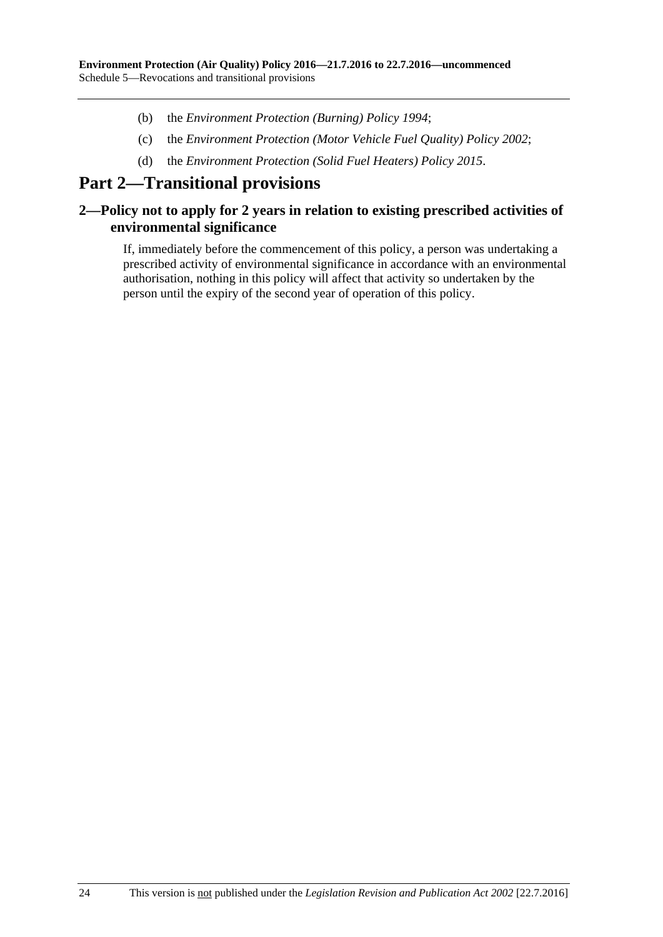- (b) the *[Environment Protection \(Burning\) Policy](http://www.legislation.sa.gov.au/index.aspx?action=legref&type=act&legtitle=Environment%20Protection%20(Burning)%20Policy%201994) 1994*;
- (c) the *[Environment Protection \(Motor Vehicle Fuel Quality\) Policy](http://www.legislation.sa.gov.au/index.aspx?action=legref&type=act&legtitle=Environment%20Protection%20(Motor%20Vehicle%20Fuel%20Quality)%20Policy%202002) 2002*;
- (d) the *[Environment Protection \(Solid Fuel Heaters\) Policy](http://www.legislation.sa.gov.au/index.aspx?action=legref&type=subordleg&legtitle=Environment%20Protection%20(Solid%20Fuel%20Heaters)%20Policy%202015) 2015*.

## **Part 2—Transitional provisions**

### <span id="page-23-0"></span>**2—Policy not to apply for 2 years in relation to existing prescribed activities of environmental significance**

If, immediately before the commencement of this policy, a person was undertaking a prescribed activity of environmental significance in accordance with an environmental authorisation, nothing in this policy will affect that activity so undertaken by the person until the expiry of the second year of operation of this policy.